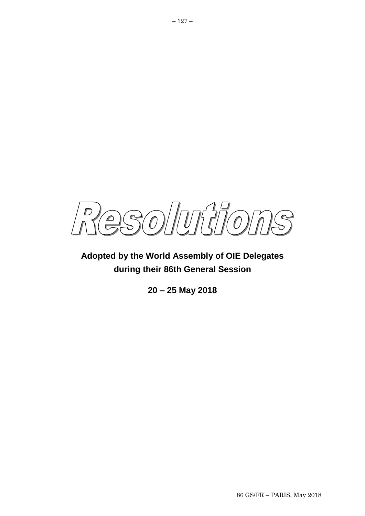SONUMMOMS  $\Omega$ 

**Adopted by the World Assembly of OIE Delegates during their 86th General Session**

**20 – 25 May 2018**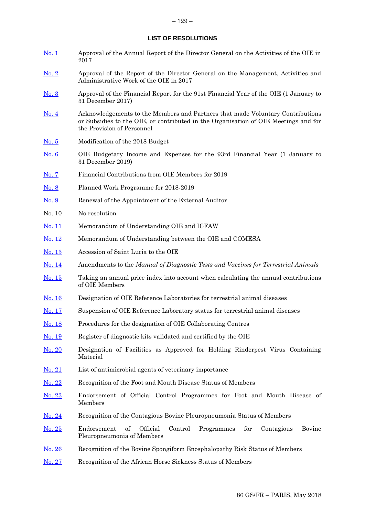# **LIST OF RESOLUTIONS**

| <u>No. 1</u>  | Approval of the Annual Report of the Director General on the Activities of the OIE in<br>2017                                                                                                       |  |  |
|---------------|-----------------------------------------------------------------------------------------------------------------------------------------------------------------------------------------------------|--|--|
| No. 2         | Approval of the Report of the Director General on the Management, Activities and<br>Administrative Work of the OIE in 2017                                                                          |  |  |
| No. 3         | Approval of the Financial Report for the 91st Financial Year of the OIE (1 January to<br>31 December 2017)                                                                                          |  |  |
| <u>No. 4</u>  | Acknowledgements to the Members and Partners that made Voluntary Contributions<br>or Subsidies to the OIE, or contributed in the Organisation of OIE Meetings and for<br>the Provision of Personnel |  |  |
| <u>No. 5</u>  | Modification of the 2018 Budget                                                                                                                                                                     |  |  |
| No. 6         | OIE Budgetary Income and Expenses for the 93rd Financial Year (1 January to<br>31 December 2019)                                                                                                    |  |  |
| <u>No. 7</u>  | Financial Contributions from OIE Members for 2019                                                                                                                                                   |  |  |
| <u>No. 8</u>  | Planned Work Programme for 2018-2019                                                                                                                                                                |  |  |
| No. 9         | Renewal of the Appointment of the External Auditor                                                                                                                                                  |  |  |
| No. 10        | No resolution                                                                                                                                                                                       |  |  |
| <u>No. 11</u> | Memorandum of Understanding OIE and ICFAW                                                                                                                                                           |  |  |
| <u>No. 12</u> | Memorandum of Understanding between the OIE and COMESA                                                                                                                                              |  |  |
| <u>No. 13</u> | Accession of Saint Lucia to the OIE                                                                                                                                                                 |  |  |
| <u>No. 14</u> | Amendments to the Manual of Diagnostic Tests and Vaccines for Terrestrial Animals                                                                                                                   |  |  |
| <u>No. 15</u> | Taking an annual price index into account when calculating the annual contributions<br>of OIE Members                                                                                               |  |  |
| <u>No. 16</u> | Designation of OIE Reference Laboratories for terrestrial animal diseases                                                                                                                           |  |  |
| <u>No. 17</u> | Suspension of OIE Reference Laboratory status for terrestrial animal diseases                                                                                                                       |  |  |
| No. 18        | Procedures for the designation of OIE Collaborating Centres                                                                                                                                         |  |  |
| <u>No. 19</u> | Register of diagnostic kits validated and certified by the OIE                                                                                                                                      |  |  |
| No. 20        | Designation of Facilities as Approved for Holding Rinderpest Virus Containing<br>Material                                                                                                           |  |  |
| <u>No. 21</u> | List of antimicrobial agents of veterinary importance                                                                                                                                               |  |  |
| <u>No. 22</u> | Recognition of the Foot and Mouth Disease Status of Members                                                                                                                                         |  |  |
| <u>No. 23</u> | Endorsement of Official Control Programmes for Foot and Mouth Disease of<br>Members                                                                                                                 |  |  |
| No. 24        | Recognition of the Contagious Bovine Pleuropneumonia Status of Members                                                                                                                              |  |  |
| No. 25        | of<br>Official<br>Control<br>Endorsement<br>Programmes<br>for<br>Contagious<br>Bovine<br>Pleuropneumonia of Members                                                                                 |  |  |
| <u>No. 26</u> | Recognition of the Bovine Spongiform Encephalopathy Risk Status of Members                                                                                                                          |  |  |
| No. 27        | Recognition of the African Horse Sickness Status of Members                                                                                                                                         |  |  |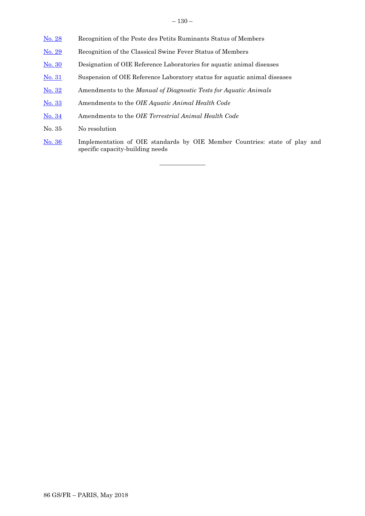- [No. 28](#page-45-0) Recognition of the Peste des Petits Ruminants Status of Members
- [No. 29](#page-47-0) Recognition of the Classical Swine Fever Status of Members
- [No. 30](#page-49-0) Designation of OIE Reference Laboratories for aquatic animal diseases
- [No. 31](#page-51-0) Suspension of OIE Reference Laboratory status for aquatic animal diseases
- [No. 3](#page-53-0)2 Amendments to the *Manual of Diagnostic Tests for Aquatic Animals*
- [No. 3](#page-54-0)3 Amendments to the *OIE Aquatic Animal Health Code*
- [No. 3](#page-55-0)4 Amendments to the *OIE Terrestrial Animal Health Code*
- No. 35 No resolution
- [No. 36](#page-57-0) Implementation of OIE standards by OIE Member Countries: state of play and specific capacity-building needs

 $\overline{\phantom{a}}$  , where  $\overline{\phantom{a}}$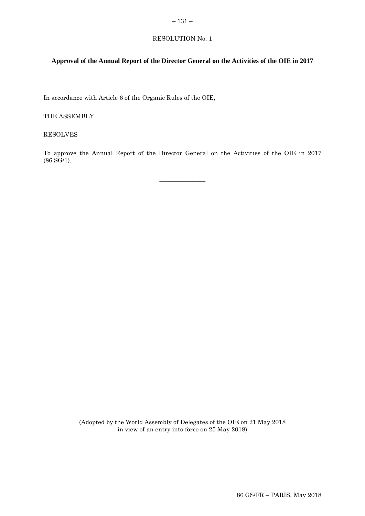### <span id="page-4-0"></span>– 131 –

# RESOLUTION No. 1

# **Approval of the Annual Report of the Director General on the Activities of the OIE in 2017**

In accordance with Article 6 of the Organic Rules of the OIE,

THE ASSEMBLY

RESOLVES

To approve the Annual Report of the Director General on the Activities of the OIE in 2017 (86 SG/1).

 $\overline{\phantom{a}}$  , where  $\overline{\phantom{a}}$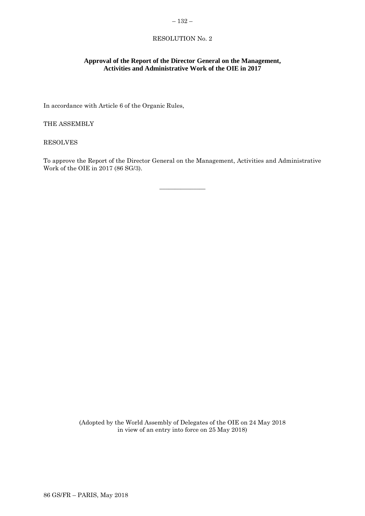### <span id="page-5-0"></span>– 132 –

# RESOLUTION No. 2

# **Approval of the Report of the Director General on the Management, Activities and Administrative Work of the OIE in 2017**

In accordance with Article 6 of the Organic Rules,

THE ASSEMBLY

RESOLVES

To approve the Report of the Director General on the Management, Activities and Administrative Work of the OIE in 2017 (86 SG/3).

 $\overline{\phantom{a}}$  , where  $\overline{\phantom{a}}$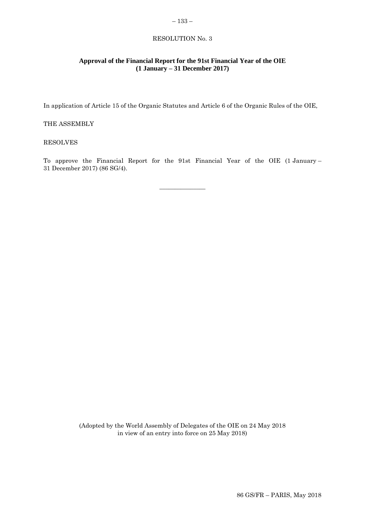# <span id="page-6-0"></span>– 133 – RESOLUTION No. 3

# **Approval of the Financial Report for the 91st Financial Year of the OIE (1 January – 31 December 2017)**

In application of Article 15 of the Organic Statutes and Article 6 of the Organic Rules of the OIE,

# THE ASSEMBLY

# RESOLVES

To approve the Financial Report for the 91st Financial Year of the OIE (1 January – 31 December 2017) (86 SG/4).

 $\overline{\phantom{a}}$  , where  $\overline{\phantom{a}}$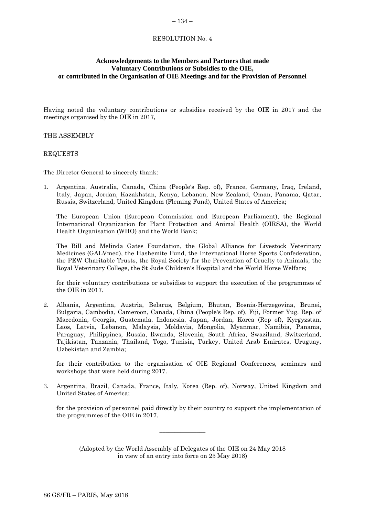#### <span id="page-7-0"></span>– 134 –

# RESOLUTION No. 4

# **Acknowledgements to the Members and Partners that made Voluntary Contributions or Subsidies to the OIE, or contributed in the Organisation of OIE Meetings and for the Provision of Personnel**

Having noted the voluntary contributions or subsidies received by the OIE in 2017 and the meetings organised by the OIE in 2017,

THE ASSEMBLY

REQUESTS

The Director General to sincerely thank:

1. Argentina, Australia, Canada, China (People's Rep. of), France, Germany, Iraq, Ireland, Italy, Japan, Jordan, Kazakhstan, Kenya, Lebanon, New Zealand, Oman, Panama, Qatar, Russia, Switzerland, United Kingdom (Fleming Fund), United States of America;

The European Union (European Commission and European Parliament), the Regional International Organization for Plant Protection and Animal Health (OIRSA), the World Health Organisation (WHO) and the World Bank;

The Bill and Melinda Gates Foundation, the Global Alliance for Livestock Veterinary Medicines (GALVmed), the Hashemite Fund, the International Horse Sports Confederation, the PEW Charitable Trusts, the Royal Society for the Prevention of Cruelty to Animals, the Royal Veterinary College, the St Jude Children's Hospital and the World Horse Welfare;

for their voluntary contributions or subsidies to support the execution of the programmes of the OIE in 2017.

2. Albania, Argentina, Austria, Belarus, Belgium, Bhutan, Bosnia-Herzegovina, Brunei, Bulgaria, Cambodia, Cameroon, Canada, China (People's Rep. of), Fiji, Former Yug. Rep. of Macedonia, Georgia, Guatemala, Indonesia, Japan, Jordan, Korea (Rep of), Kyrgyzstan, Laos, Latvia, Lebanon, Malaysia, Moldavia, Mongolia, Myanmar, Namibia, Panama, Paraguay, Philippines, Russia, Rwanda, Slovenia, South Africa, Swaziland, Switzerland, Tajikistan, Tanzania, Thailand, Togo, Tunisia, Turkey, United Arab Emirates, Uruguay, Uzbekistan and Zambia;

for their contribution to the organisation of OIE Regional Conferences, seminars and workshops that were held during 2017.

3. Argentina, Brazil, Canada, France, Italy, Korea (Rep. of), Norway, United Kingdom and United States of America;

for the provision of personnel paid directly by their country to support the implementation of the programmes of the OIE in 2017.

(Adopted by the World Assembly of Delegates of the OIE on 24 May 2018 in view of an entry into force on 25 May 2018)

 $\overline{\phantom{a}}$  , where  $\overline{\phantom{a}}$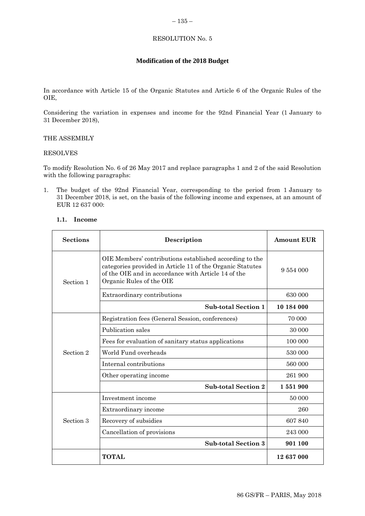### <span id="page-8-0"></span>RESOLUTION No. 5

# **Modification of the 2018 Budget**

In accordance with Article 15 of the Organic Statutes and Article 6 of the Organic Rules of the OIE,

Considering the variation in expenses and income for the 92nd Financial Year (1 January to 31 December 2018),

# THE ASSEMBLY

#### RESOLVES

To modify Resolution No. 6 of 26 May 2017 and replace paragraphs 1 and 2 of the said Resolution with the following paragraphs:

1. The budget of the 92nd Financial Year, corresponding to the period from 1 January to 31 December 2018, is set, on the basis of the following income and expenses, at an amount of EUR 12 637 000:

# **1.1. Income**

| <b>Sections</b> | Description                                                                                                                                                                                             | <b>Amount EUR</b> |
|-----------------|---------------------------------------------------------------------------------------------------------------------------------------------------------------------------------------------------------|-------------------|
| Section 1       | OIE Members' contributions established according to the<br>categories provided in Article 11 of the Organic Statutes<br>of the OIE and in accordance with Article 14 of the<br>Organic Rules of the OIE | 9 554 000         |
|                 | Extraordinary contributions                                                                                                                                                                             | 630 000           |
|                 | <b>Sub-total Section 1</b>                                                                                                                                                                              | 10 184 000        |
|                 | Registration fees (General Session, conferences)                                                                                                                                                        | 70 000            |
|                 | Publication sales                                                                                                                                                                                       | 30 000            |
|                 | Fees for evaluation of sanitary status applications                                                                                                                                                     | 100 000           |
| Section 2       | World Fund overheads                                                                                                                                                                                    | 530 000           |
|                 | Internal contributions                                                                                                                                                                                  | 560 000           |
|                 | Other operating income                                                                                                                                                                                  | 261 900           |
|                 | <b>Sub-total Section 2</b>                                                                                                                                                                              | 1551900           |
|                 | Investment income                                                                                                                                                                                       | 50 000            |
|                 | Extraordinary income                                                                                                                                                                                    | 260               |
| Section 3       | Recovery of subsidies                                                                                                                                                                                   | 607 840           |
|                 | Cancellation of provisions                                                                                                                                                                              | 243 000           |
|                 | <b>Sub-total Section 3</b>                                                                                                                                                                              | 901 100           |
|                 | TOTAL                                                                                                                                                                                                   | 12 637 000        |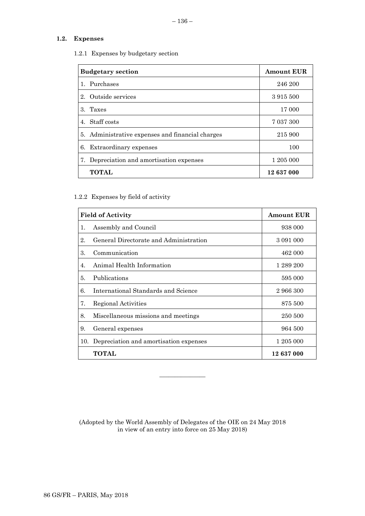# **1.2. Expenses**

1.2.1 Expenses by budgetary section

| <b>Budgetary section</b>                         | <b>Amount EUR</b> |
|--------------------------------------------------|-------------------|
| 1. Purchases                                     | 246 200           |
| 2. Outside services                              | 3915500           |
| $3_{-}$<br>Taxes                                 | 17 000            |
| 4. Staff costs                                   | 7 037 300         |
| 5. Administrative expenses and financial charges | 215 900           |
| 6. Extraordinary expenses                        | 100               |
| 7. Depreciation and amortisation expenses        | 1 205 000         |
| <b>TOTAL</b>                                     | 12 637 000        |

# 1.2.2 Expenses by field of activity

|     | <b>Field of Activity</b>               | <b>Amount EUR</b> |
|-----|----------------------------------------|-------------------|
| 1.  | Assembly and Council                   | 938 000           |
| 2.  | General Directorate and Administration | 3 091 000         |
| 3.  | Communication                          | 462 000           |
| 4.  | Animal Health Information              | 1 289 200         |
| 5.  | Publications                           | 595 000           |
| 6.  | International Standards and Science    | 2 966 300         |
| 7.  | <b>Regional Activities</b>             | 875 500           |
| 8.  | Miscellaneous missions and meetings    | 250 500           |
| 9.  | General expenses                       | 964 500           |
| 10. | Depreciation and amortisation expenses | 1 205 000         |
|     | TOTAL                                  | 12 637 000        |

(Adopted by the World Assembly of Delegates of the OIE on 24 May 2018 in view of an entry into force on 25 May 2018)

 $\overline{\phantom{a}}$  , where  $\overline{\phantom{a}}$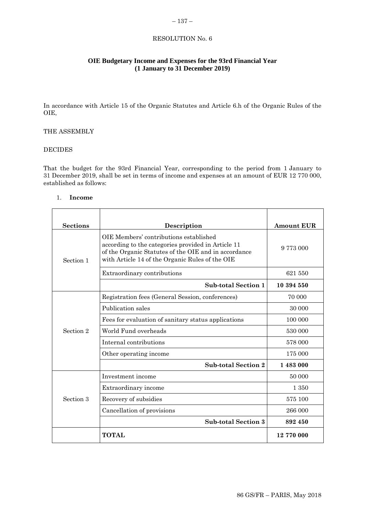# <span id="page-10-0"></span> $-137-$

# RESOLUTION No. 6

# **OIE Budgetary Income and Expenses for the 93rd Financial Year (1 January to 31 December 2019)**

In accordance with Article 15 of the Organic Statutes and Article 6.h of the Organic Rules of the OIE,

# THE ASSEMBLY

# DECIDES

That the budget for the 93rd Financial Year, corresponding to the period from 1 January to 31 December 2019, shall be set in terms of income and expenses at an amount of EUR 12 770 000, established as follows:

#### 1. **Income**

| <b>Sections</b> | Description                                                                                                                                                                                             | <b>Amount EUR</b> |
|-----------------|---------------------------------------------------------------------------------------------------------------------------------------------------------------------------------------------------------|-------------------|
| Section 1       | OIE Members' contributions established<br>according to the categories provided in Article 11<br>of the Organic Statutes of the OIE and in accordance<br>with Article 14 of the Organic Rules of the OIE | 9 773 000         |
|                 | Extraordinary contributions                                                                                                                                                                             | 621 550           |
|                 | <b>Sub-total Section 1</b>                                                                                                                                                                              | 10 394 550        |
|                 | Registration fees (General Session, conferences)                                                                                                                                                        | 70 000            |
|                 | Publication sales                                                                                                                                                                                       | 30 000            |
|                 | Fees for evaluation of sanitary status applications                                                                                                                                                     | 100 000           |
| Section 2       | World Fund overheads                                                                                                                                                                                    | 530 000           |
|                 | Internal contributions                                                                                                                                                                                  | 578 000           |
|                 | Other operating income                                                                                                                                                                                  | 175 000           |
|                 | <b>Sub-total Section 2</b>                                                                                                                                                                              | 1483000           |
|                 | Investment income                                                                                                                                                                                       | 50 000            |
|                 | Extraordinary income                                                                                                                                                                                    | 1 350             |
| Section 3       | Recovery of subsidies                                                                                                                                                                                   | 575 100           |
|                 | Cancellation of provisions                                                                                                                                                                              | 266 000           |
|                 | <b>Sub-total Section 3</b>                                                                                                                                                                              | 892 450           |
|                 | <b>TOTAL</b>                                                                                                                                                                                            | 12 770 000        |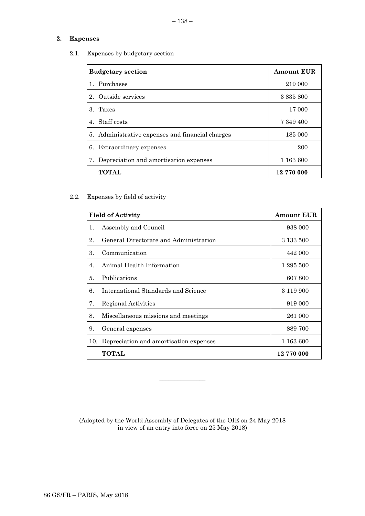# **2. Expenses**

2.1. Expenses by budgetary section

| <b>Budgetary section</b>                         | <b>Amount EUR</b> |
|--------------------------------------------------|-------------------|
| Purchases                                        | 219 000           |
| Outside services<br>$2_{-}$                      | 3 8 3 5 8 0 0     |
| 3. Taxes                                         | 17 000            |
| 4. Staff costs                                   | 7 349 400         |
| 5. Administrative expenses and financial charges | 185 000           |
| Extraordinary expenses<br>6.                     | 200               |
| Depreciation and amortisation expenses<br>7.     | 1 163 600         |
| <b>TOTAL</b>                                     | 12 770 000        |

2.2. Expenses by field of activity

|    | <b>Field of Activity</b>                   | <b>Amount EUR</b> |
|----|--------------------------------------------|-------------------|
| 1. | Assembly and Council                       | 938 000           |
| 2. | General Directorate and Administration     | 3 1 3 5 5 0 0     |
| 3. | Communication                              | 442 000           |
| 4. | Animal Health Information                  | 1 295 500         |
| 5. | Publications                               | 607 800           |
| 6. | International Standards and Science        | 3 119 900         |
| 7. | Regional Activities                        | 919 000           |
| 8. | Miscellaneous missions and meetings        | 261 000           |
| 9. | General expenses                           | 889 700           |
|    | 10. Depreciation and amortisation expenses | 1 163 600         |
|    | TOTAL                                      | 12 770 000        |

(Adopted by the World Assembly of Delegates of the OIE on 24 May 2018 in view of an entry into force on 25 May 2018)

\_\_\_\_\_\_\_\_\_\_\_\_\_\_\_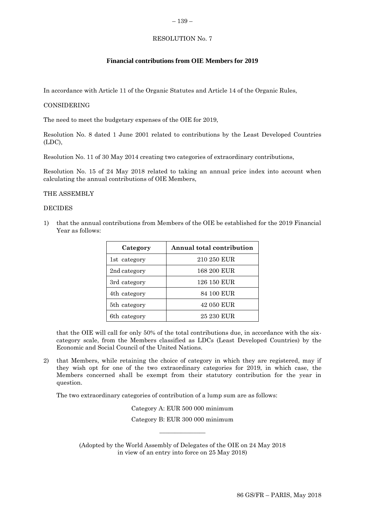#### <span id="page-12-0"></span>– 139 –

# RESOLUTION No. 7

### **Financial contributions from OIE Members for 2019**

In accordance with Article 11 of the Organic Statutes and Article 14 of the Organic Rules,

#### CONSIDERING

The need to meet the budgetary expenses of the OIE for 2019,

Resolution No. 8 dated 1 June 2001 related to contributions by the Least Developed Countries (LDC),

Resolution No. 11 of 30 May 2014 creating two categories of extraordinary contributions,

Resolution No. 15 of 24 May 2018 related to taking an annual price index into account when calculating the annual contributions of OIE Members,

#### THE ASSEMBLY

#### DECIDES

1) that the annual contributions from Members of the OIE be established for the 2019 Financial Year as follows:

| Category     | <b>Annual total contribution</b> |  |
|--------------|----------------------------------|--|
| 1st category | 210 250 EUR                      |  |
| 2nd category | 168 200 EUR                      |  |
| 3rd category | 126 150 EUR                      |  |
| 4th category | 84 100 EUR                       |  |
| 5th category | 42 050 EUR                       |  |
| 6th category | 25 230 EUR                       |  |

that the OIE will call for only 50% of the total contributions due, in accordance with the sixcategory scale, from the Members classified as LDCs (Least Developed Countries) by the Economic and Social Council of the United Nations.

2) that Members, while retaining the choice of category in which they are registered, may if they wish opt for one of the two extraordinary categories for 2019, in which case, the Members concerned shall be exempt from their statutory contribution for the year in question.

The two extraordinary categories of contribution of a lump sum are as follows:

Category A: EUR 500 000 minimum Category B: EUR 300 000 minimum

(Adopted by the World Assembly of Delegates of the OIE on 24 May 2018 in view of an entry into force on 25 May 2018)

 $\overline{\phantom{a}}$  , where  $\overline{\phantom{a}}$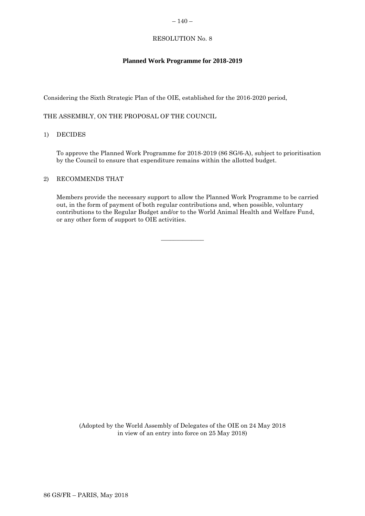# <span id="page-13-0"></span>RESOLUTION No. 8

# **Planned Work Programme for 2018-2019**

Considering the Sixth Strategic Plan of the OIE, established for the 2016-2020 period,

THE ASSEMBLY, ON THE PROPOSAL OF THE COUNCIL

# 1) DECIDES

To approve the Planned Work Programme for 2018-2019 (86 SG/6-A), subject to prioritisation by the Council to ensure that expenditure remains within the allotted budget.

# 2) RECOMMENDS THAT

Members provide the necessary support to allow the Planned Work Programme to be carried out, in the form of payment of both regular contributions and, when possible, voluntary contributions to the Regular Budget and/or to the World Animal Health and Welfare Fund, or any other form of support to OIE activities.

 $\overline{\phantom{a}}$  , where  $\overline{\phantom{a}}$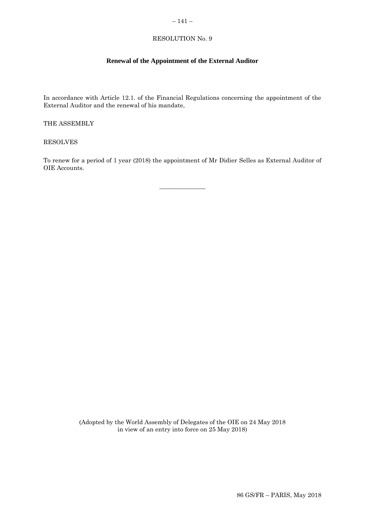# <span id="page-14-0"></span> $-141-$

# RESOLUTION No. 9

# **Renewal of the Appointment of the External Auditor**

In accordance with Article 12.1. of the Financial Regulations concerning the appointment of the External Auditor and the renewal of his mandate,

THE ASSEMBLY

RESOLVES

To renew for a period of 1 year (2018) the appointment of Mr Didier Selles as External Auditor of OIE Accounts.

 $\overline{\phantom{a}}$  , where  $\overline{\phantom{a}}$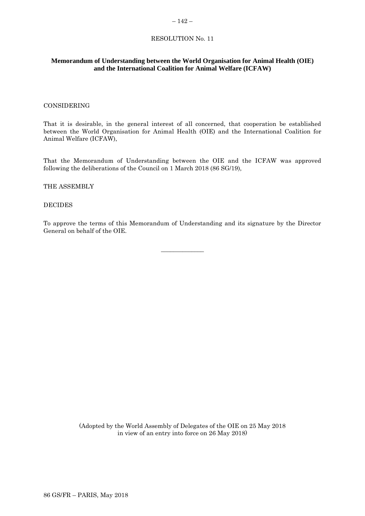#### $-142-$

# RESOLUTION No. 11

# <span id="page-15-0"></span>**Memorandum of Understanding between the World Organisation for Animal Health (OIE) and the International Coalition for Animal Welfare (ICFAW)**

### CONSIDERING

That it is desirable, in the general interest of all concerned, that cooperation be established between the World Organisation for Animal Health (OIE) and the International Coalition for Animal Welfare (ICFAW),

That the Memorandum of Understanding between the OIE and the ICFAW was approved following the deliberations of the Council on 1 March 2018 (86 SG/19),

# THE ASSEMBLY

### DECIDES

To approve the terms of this Memorandum of Understanding and its signature by the Director General on behalf of the OIE.

\_\_\_\_\_\_\_\_\_\_\_\_\_\_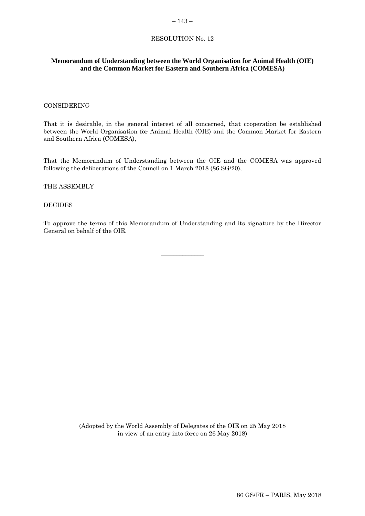#### <span id="page-16-0"></span> $-143-$

# RESOLUTION No. 12

# **Memorandum of Understanding between the World Organisation for Animal Health (OIE) and the Common Market for Eastern and Southern Africa (COMESA)**

### CONSIDERING

That it is desirable, in the general interest of all concerned, that cooperation be established between the World Organisation for Animal Health (OIE) and the Common Market for Eastern and Southern Africa (COMESA),

That the Memorandum of Understanding between the OIE and the COMESA was approved following the deliberations of the Council on 1 March 2018 (86 SG/20),

#### THE ASSEMBLY

### DECIDES

To approve the terms of this Memorandum of Understanding and its signature by the Director General on behalf of the OIE.

\_\_\_\_\_\_\_\_\_\_\_\_\_\_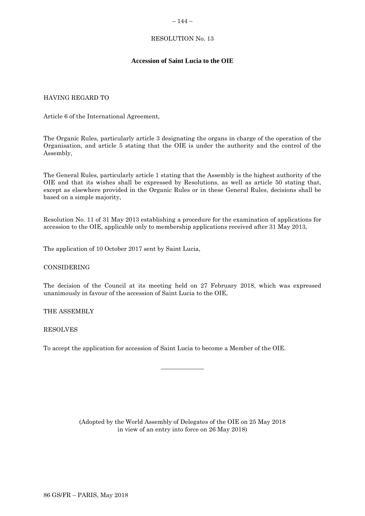### <span id="page-17-0"></span>RESOLUTION No. 13

# **Accession of Saint Lucia to the OIE**

# HAVING REGARD TO

Article 6 of the International Agreement,

The Organic Rules, particularly article 3 designating the organs in charge of the operation of the Organisation, and article 5 stating that the OIE is under the authority and the control of the Assembly,

The General Rules, particularly article 1 stating that the Assembly is the highest authority of the OIE and that its wishes shall be expressed by Resolutions, as well as article 50 stating that, except as elsewhere provided in the Organic Rules or in these General Rules, decisions shall be based on a simple majority,

Resolution No. 11 of 31 May 2013 establishing a procedure for the examination of applications for accession to the OIE, applicable only to membership applications received after 31 May 2013,

The application of 10 October 2017 sent by Saint Lucia,

#### CONSIDERING

The decision of the Council at its meeting held on 27 February 2018, which was expressed unanimously in favour of the accession of Saint Lucia to the OIE,

THE ASSEMBLY

RESOLVES

To accept the application for accession of Saint Lucia to become a Member of the OIE.

(Adopted by the World Assembly of Delegates of the OIE on 25 May 2018 in view of an entry into force on 26 May 2018)

\_\_\_\_\_\_\_\_\_\_\_\_\_\_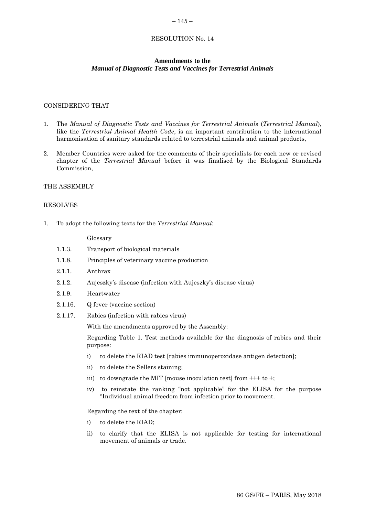#### $-145-$

#### RESOLUTION No. 14

### **Amendments to the** *Manual of Diagnostic Tests and Vaccines for Terrestrial Animals*

# CONSIDERING THAT

- 1. The *Manual of Diagnostic Tests and Vaccines for Terrestrial Animals* (*Terrestrial Manual*), like the *Terrestrial Animal Health Code*, is an important contribution to the international harmonisation of sanitary standards related to terrestrial animals and animal products,
- 2. Member Countries were asked for the comments of their specialists for each new or revised chapter of the *Terrestrial Manual* before it was finalised by the Biological Standards Commission,

### THE ASSEMBLY

### RESOLVES

1. To adopt the following texts for the *Terrestrial Manual*:

Glossary

- 1.1.3. Transport of biological materials
- 1.1.8. Principles of veterinary vaccine production
- 2.1.1. Anthrax
- 2.1.2. Aujeszky's disease (infection with Aujeszky's disease virus)
- 2.1.9. Heartwater
- 2.1.16. Q fever (vaccine section)
- 2.1.17. Rabies (infection with rabies virus)

With the amendments approved by the Assembly:

Regarding Table 1. Test methods available for the diagnosis of rabies and their purpose:

- i) to delete the RIAD test [rabies immunoperoxidase antigen detection];
- ii) to delete the Sellers staining;
- iii) to downgrade the MIT [mouse inoculation test] from  $++$  to  $+$ ;
- iv) to reinstate the ranking "not applicable" for the ELISA for the purpose "Individual animal freedom from infection prior to movement.

Regarding the text of the chapter:

- i) to delete the RIAD;
- ii) to clarify that the ELISA is not applicable for testing for international movement of animals or trade.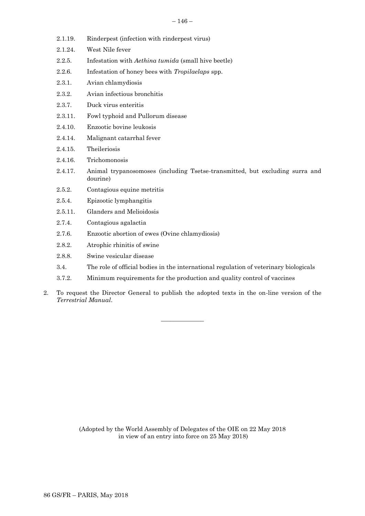- 2.1.19. Rinderpest (infection with rinderpest virus)
- 2.1.24. West Nile fever
- 2.2.5. Infestation with *Aethina tumida* (small hive beetle)
- 2.2.6. Infestation of honey bees with *Tropilaelaps* spp.
- 2.3.1. Avian chlamydiosis
- 2.3.2. Avian infectious bronchitis
- 2.3.7. Duck virus enteritis
- 2.3.11. Fowl typhoid and Pullorum disease
- 2.4.10. Enzootic bovine leukosis
- 2.4.14. Malignant catarrhal fever
- 2.4.15. Theileriosis
- 2.4.16. Trichomonosis
- 2.4.17. Animal trypanosomoses (including Tsetse-transmitted, but excluding surra and dourine)
- 2.5.2. Contagious equine metritis
- 2.5.4. Epizootic lymphangitis
- 2.5.11. Glanders and Melioidosis
- 2.7.4. Contagious agalactia
- 2.7.6. Enzootic abortion of ewes (Ovine chlamydiosis)
- 2.8.2. Atrophic rhinitis of swine
- 2.8.8. Swine vesicular disease
- 3.4. The role of official bodies in the international regulation of veterinary biologicals
- 3.7.2. Minimum requirements for the production and quality control of vaccines
- 2. To request the Director General to publish the adopted texts in the on-line version of the *Terrestrial Manual*.

 $\overline{\phantom{a}}$  , where  $\overline{\phantom{a}}$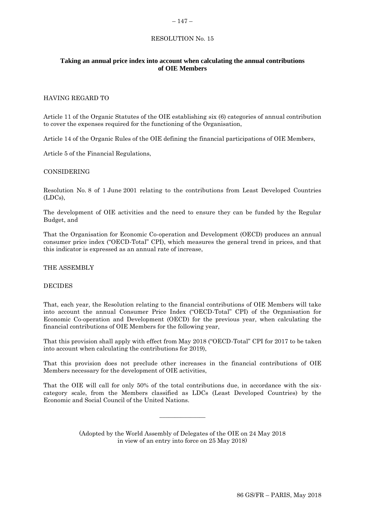# <span id="page-20-0"></span> $-147-$

# RESOLUTION No. 15

# **Taking an annual price index into account when calculating the annual contributions of OIE Members**

# HAVING REGARD TO

Article 11 of the Organic Statutes of the OIE establishing six (6) categories of annual contribution to cover the expenses required for the functioning of the Organisation,

Article 14 of the Organic Rules of the OIE defining the financial participations of OIE Members,

Article 5 of the Financial Regulations,

#### CONSIDERING

Resolution No. 8 of 1 June 2001 relating to the contributions from Least Developed Countries (LDCs),

The development of OIE activities and the need to ensure they can be funded by the Regular Budget, and

That the Organisation for Economic Co-operation and Development (OECD) produces an annual consumer price index ("OECD-Total" CPI), which measures the general trend in prices, and that this indicator is expressed as an annual rate of increase,

THE ASSEMBLY

#### DECIDES

That, each year, the Resolution relating to the financial contributions of OIE Members will take into account the annual Consumer Price Index ("OECD-Total" CPI) of the Organisation for Economic Co-operation and Development (OECD) for the previous year, when calculating the financial contributions of OIE Members for the following year,

That this provision shall apply with effect from May 2018 ("OECD-Total" CPI for 2017 to be taken into account when calculating the contributions for 2019),

That this provision does not preclude other increases in the financial contributions of OIE Members necessary for the development of OIE activities,

That the OIE will call for only 50% of the total contributions due, in accordance with the sixcategory scale, from the Members classified as LDCs (Least Developed Countries) by the Economic and Social Council of the United Nations.

> (Adopted by the World Assembly of Delegates of the OIE on 24 May 2018 in view of an entry into force on 25 May 2018)

 $\overline{\phantom{a}}$  , where  $\overline{\phantom{a}}$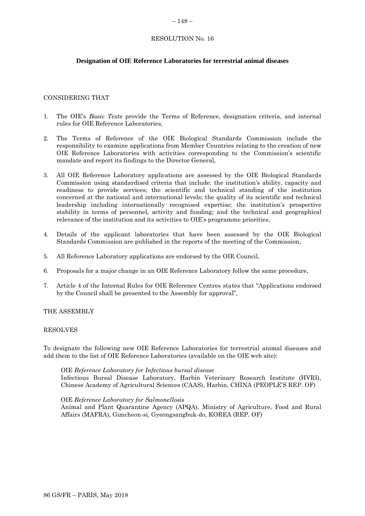#### <span id="page-21-0"></span> $-148-$

# RESOLUTION No. 16

# **Designation of OIE Reference Laboratories for terrestrial animal diseases**

# CONSIDERING THAT

- 1. The OIE's *Basic Texts* provide the Terms of Reference, designation criteria, and internal rules for OIE Reference Laboratories,
- 2. The Terms of Reference of the OIE Biological Standards Commission include the responsibility to examine applications from Member Countries relating to the creation of new OIE Reference Laboratories with activities corresponding to the Commission's scientific mandate and report its findings to the Director General,
- 3. All OIE Reference Laboratory applications are assessed by the OIE Biological Standards Commission using standardised criteria that include: the institution's ability, capacity and readiness to provide services; the scientific and technical standing of the institution concerned at the national and international levels; the quality of its scientific and technical leadership including internationally recognised expertise; the institution's prospective stability in terms of personnel, activity and funding; and the technical and geographical relevance of the institution and its activities to OIE's programme priorities,
- 4. Details of the applicant laboratories that have been assessed by the OIE Biological Standards Commission are published in the reports of the meeting of the Commission,
- 5. All Reference Laboratory applications are endorsed by the OIE Council,
- 6. Proposals for a major change in an OIE Reference Laboratory follow the same procedure,
- 7. Article 4 of the Internal Rules for OIE Reference Centres states that "Applications endorsed by the Council shall be presented to the Assembly for approval",

#### THE ASSEMBLY

#### RESOLVES

To designate the following new OIE Reference Laboratories for terrestrial animal diseases and add them to the list of OIE Reference Laboratories (available on the OIE web site):

#### OIE *Reference Laboratory for Infectious bursal disease*

Infectious Bursal Disease Laboratory, Harbin Veterinary Research Institute (HVRI), Chinese Academy of Agricultural Sciences (CAAS), Harbin, CHINA (PEOPLE'S REP. OF)

#### OIE *Reference Laboratory for Salmonellosis*

Animal and Plant Quarantine Agency (APQA), Ministry of Agriculture, Food and Rural Affairs (MAFRA), Gimcheon-si, Gyeongsangbuk-do, KOREA (REP. OF)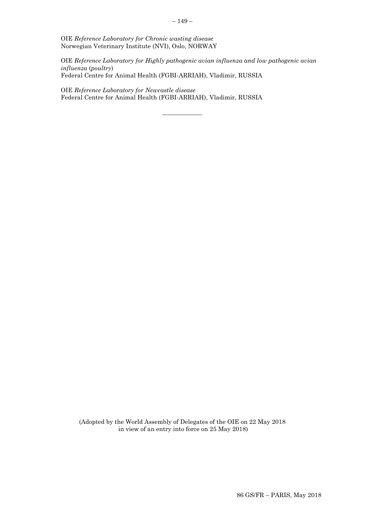OIE *Reference Laboratory for Highly pathogenic avian influenza and low pathogenic avian influenza* (*poultry*) Federal Centre for Animal Health (FGBI-ARRIAH), Vladimir, RUSSIA

 $\overline{\phantom{a}}$  ,  $\overline{\phantom{a}}$  ,  $\overline{\phantom{a}}$  ,  $\overline{\phantom{a}}$  ,  $\overline{\phantom{a}}$  ,  $\overline{\phantom{a}}$  ,  $\overline{\phantom{a}}$  ,  $\overline{\phantom{a}}$  ,  $\overline{\phantom{a}}$  ,  $\overline{\phantom{a}}$  ,  $\overline{\phantom{a}}$  ,  $\overline{\phantom{a}}$  ,  $\overline{\phantom{a}}$  ,  $\overline{\phantom{a}}$  ,  $\overline{\phantom{a}}$  ,  $\overline{\phantom{a}}$ 

OIE *Reference Laboratory for Newcastle disease* Federal Centre for Animal Health (FGBI-ARRIAH), Vladimir, RUSSIA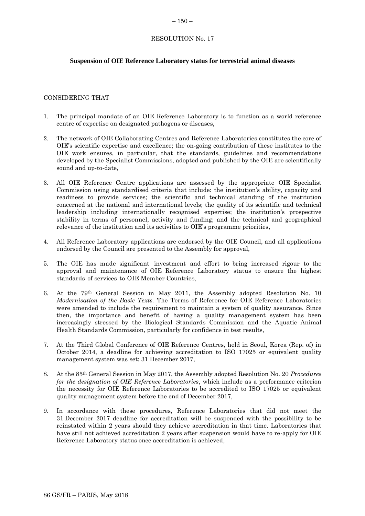#### <span id="page-23-0"></span> $-150-$

# RESOLUTION No. 17

# **Suspension of OIE Reference Laboratory status for terrestrial animal diseases**

# CONSIDERING THAT

- 1. The principal mandate of an OIE Reference Laboratory is to function as a world reference centre of expertise on designated pathogens or diseases,
- 2. The network of OIE Collaborating Centres and Reference Laboratories constitutes the core of OIE's scientific expertise and excellence; the on-going contribution of these institutes to the OIE work ensures, in particular, that the standards, guidelines and recommendations developed by the Specialist Commissions, adopted and published by the OIE are scientifically sound and up-to-date,
- 3. All OIE Reference Centre applications are assessed by the appropriate OIE Specialist Commission using standardised criteria that include: the institution's ability, capacity and readiness to provide services; the scientific and technical standing of the institution concerned at the national and international levels; the quality of its scientific and technical leadership including internationally recognised expertise; the institution's prospective stability in terms of personnel, activity and funding; and the technical and geographical relevance of the institution and its activities to OIE's programme priorities,
- 4. All Reference Laboratory applications are endorsed by the OIE Council, and all applications endorsed by the Council are presented to the Assembly for approval,
- 5. The OIE has made significant investment and effort to bring increased rigour to the approval and maintenance of OIE Reference Laboratory status to ensure the highest standards of services to OIE Member Countries,
- 6. At the 79th General Session in May 2011, the Assembly adopted Resolution No. 10 *Modernisation of the Basic Texts.* The Terms of Reference for OIE Reference Laboratories were amended to include the requirement to maintain a system of quality assurance. Since then, the importance and benefit of having a quality management system has been increasingly stressed by the Biological Standards Commission and the Aquatic Animal Health Standards Commission, particularly for confidence in test results,
- 7. At the Third Global Conference of OIE Reference Centres, held in Seoul, Korea (Rep. of) in October 2014, a deadline for achieving accreditation to ISO 17025 or equivalent quality management system was set: 31 December 2017,
- 8. At the 85th General Session in May 2017, the Assembly adopted Resolution No. 20 *Procedures for the designation of OIE Reference Laboratories*, which include as a performance criterion the necessity for OIE Reference Laboratories to be accredited to ISO 17025 or equivalent quality management system before the end of December 2017,
- 9. In accordance with these procedures, Reference Laboratories that did not meet the 31 December 2017 deadline for accreditation will be suspended with the possibility to be reinstated within 2 years should they achieve accreditation in that time. Laboratories that have still not achieved accreditation 2 years after suspension would have to re-apply for OIE Reference Laboratory status once accreditation is achieved,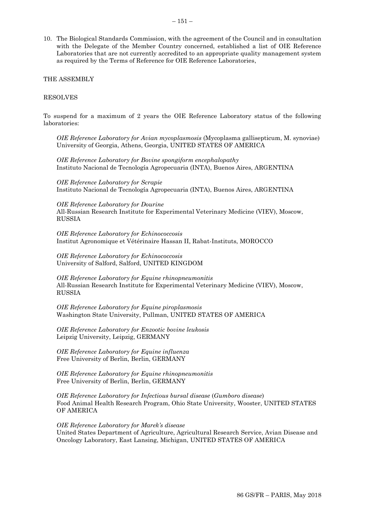10. The Biological Standards Commission, with the agreement of the Council and in consultation with the Delegate of the Member Country concerned, established a list of OIE Reference Laboratories that are not currently accredited to an appropriate quality management system as required by the Terms of Reference for OIE Reference Laboratories,

THE ASSEMBLY

#### RESOLVES

To suspend for a maximum of 2 years the OIE Reference Laboratory status of the following laboratories:

*OIE Reference Laboratory for Avian mycoplasmosis* (Mycoplasma gallisepticum, M. synoviae) University of Georgia, Athens, Georgia, UNITED STATES OF AMERICA

*OIE Reference Laboratory for Bovine spongiform encephalopathy* Instituto Nacional de Tecnología Agropecuaria (INTA), Buenos Aires, ARGENTINA

*OIE Reference Laboratory for Scrapie* Instituto Nacional de Tecnología Agropecuaria (INTA), Buenos Aires, ARGENTINA

*OIE Reference Laboratory for Dourine* All-Russian Research Institute for Experimental Veterinary Medicine (VIEV), Moscow, RUSSIA

*OIE Reference Laboratory for Echinococcosis* Institut Agronomique et Vétérinaire Hassan II, Rabat-Instituts, MOROCCO

*OIE Reference Laboratory for Echinococcosis* University of Salford, Salford, UNITED KINGDOM

*OIE Reference Laboratory for Equine rhinopneumonitis* All-Russian Research Institute for Experimental Veterinary Medicine (VIEV), Moscow, RUSSIA

*OIE Reference Laboratory for Equine piroplasmosis* Washington State University, Pullman, UNITED STATES OF AMERICA

*OIE Reference Laboratory for Enzootic bovine leukosis* Leipzig University, Leipzig, GERMANY

*OIE Reference Laboratory for Equine influenza* Free University of Berlin, Berlin, GERMANY

*OIE Reference Laboratory for Equine rhinopneumonitis* Free University of Berlin, Berlin, GERMANY

*OIE Reference Laboratory for Infectious bursal disease* (*Gumboro disease*) Food Animal Health Research Program, Ohio State University, Wooster, UNITED STATES OF AMERICA

*OIE Reference Laboratory for Marek's disease* United States Department of Agriculture, Agricultural Research Service, Avian Disease and Oncology Laboratory, East Lansing, Michigan, UNITED STATES OF AMERICA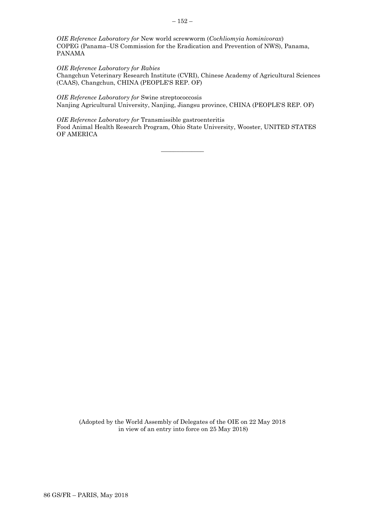*OIE Reference Laboratory for* New world screwworm (*Cochliomyia hominivorax*) COPEG (Panama–US Commission for the Eradication and Prevention of NWS), Panama, PANAMA

*OIE Reference Laboratory for Rabies* Changchun Veterinary Research Institute (CVRI), Chinese Academy of Agricultural Sciences (CAAS), Changchun, CHINA (PEOPLE'S REP. OF)

*OIE Reference Laboratory for* Swine streptococcosis Nanjing Agricultural University, Nanjing, Jiangsu province, CHINA (PEOPLE'S REP. OF)

*OIE Reference Laboratory for* Transmissible gastroenteritis Food Animal Health Research Program, Ohio State University, Wooster, UNITED STATES OF AMERICA

 $\overline{\phantom{a}}$  , where  $\overline{\phantom{a}}$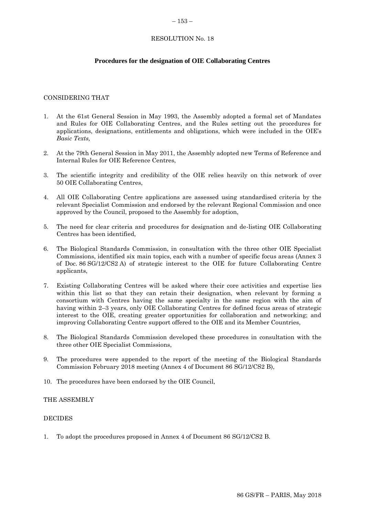#### <span id="page-26-0"></span> $-153-$

# RESOLUTION No. 18

# **Procedures for the designation of OIE Collaborating Centres**

# CONSIDERING THAT

- 1. At the 61st General Session in May 1993, the Assembly adopted a formal set of Mandates and Rules for OIE Collaborating Centres, and the Rules setting out the procedures for applications, designations, entitlements and obligations, which were included in the OIE's *Basic Texts,*
- 2. At the 79th General Session in May 2011, the Assembly adopted new Terms of Reference and Internal Rules for OIE Reference Centres,
- 3. The scientific integrity and credibility of the OIE relies heavily on this network of over 50 OIE Collaborating Centres,
- 4. All OIE Collaborating Centre applications are assessed using standardised criteria by the relevant Specialist Commission and endorsed by the relevant Regional Commission and once approved by the Council, proposed to the Assembly for adoption,
- 5. The need for clear criteria and procedures for designation and de-listing OIE Collaborating Centres has been identified,
- 6. The Biological Standards Commission, in consultation with the three other OIE Specialist Commissions, identified six main topics, each with a number of specific focus areas (Annex 3 of Doc. 86 SG/12/CS2 A) of strategic interest to the OIE for future Collaborating Centre applicants,
- 7. Existing Collaborating Centres will be asked where their core activities and expertise lies within this list so that they can retain their designation, when relevant by forming a consortium with Centres having the same specialty in the same region with the aim of having within 2–3 years, only OIE Collaborating Centres for defined focus areas of strategic interest to the OIE, creating greater opportunities for collaboration and networking; and improving Collaborating Centre support offered to the OIE and its Member Countries,
- 8. The Biological Standards Commission developed these procedures in consultation with the three other OIE Specialist Commissions,
- 9. The procedures were appended to the report of the meeting of the Biological Standards Commission February 2018 meeting (Annex 4 of Document 86 SG/12/CS2 B),
- 10. The procedures have been endorsed by the OIE Council,

#### THE ASSEMBLY

#### DECIDES

1. To adopt the procedures proposed in Annex 4 of Document 86 SG/12/CS2 B.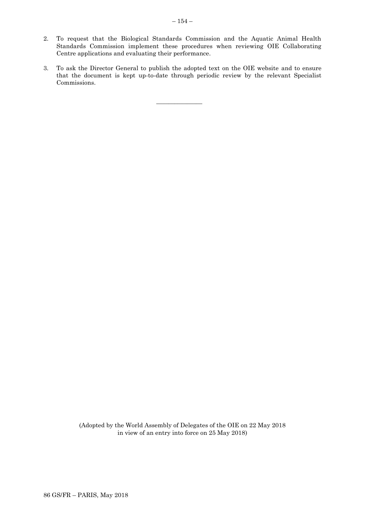- 2. To request that the Biological Standards Commission and the Aquatic Animal Health Standards Commission implement these procedures when reviewing OIE Collaborating Centre applications and evaluating their performance.
- 3. To ask the Director General to publish the adopted text on the OIE website and to ensure that the document is kept up-to-date through periodic review by the relevant Specialist Commissions.

 $\overline{\phantom{a}}$  , where  $\overline{\phantom{a}}$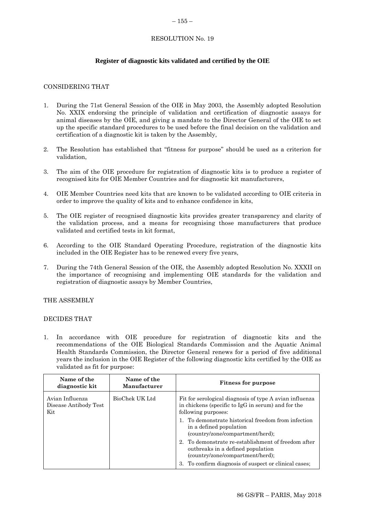#### <span id="page-28-0"></span> $-155-$

# RESOLUTION No. 19

# **Register of diagnostic kits validated and certified by the OIE**

# CONSIDERING THAT

- 1. During the 71st General Session of the OIE in May 2003, the Assembly adopted Resolution No. XXIX endorsing the principle of validation and certification of diagnostic assays for animal diseases by the OIE, and giving a mandate to the Director General of the OIE to set up the specific standard procedures to be used before the final decision on the validation and certification of a diagnostic kit is taken by the Assembly,
- 2. The Resolution has established that "fitness for purpose" should be used as a criterion for validation,
- 3. The aim of the OIE procedure for registration of diagnostic kits is to produce a register of recognised kits for OIE Member Countries and for diagnostic kit manufacturers,
- 4. OIE Member Countries need kits that are known to be validated according to OIE criteria in order to improve the quality of kits and to enhance confidence in kits,
- 5. The OIE register of recognised diagnostic kits provides greater transparency and clarity of the validation process, and a means for recognising those manufacturers that produce validated and certified tests in kit format,
- 6. According to the OIE Standard Operating Procedure, registration of the diagnostic kits included in the OIE Register has to be renewed every five years,
- 7. During the 74th General Session of the OIE, the Assembly adopted Resolution No. XXXII on the importance of recognising and implementing OIE standards for the validation and registration of diagnostic assays by Member Countries,

# THE ASSEMBLY

# DECIDES THAT

1. In accordance with OIE procedure for registration of diagnostic kits and the recommendations of the OIE Biological Standards Commission and the Aquatic Animal Health Standards Commission, the Director General renews for a period of five additional years the inclusion in the OIE Register of the following diagnostic kits certified by the OIE as validated as fit for purpose:

| Name of the<br>diagnostic kit                   | Name of the<br>Manufacturer | <b>Fitness for purpose</b>                                                                                                           |
|-------------------------------------------------|-----------------------------|--------------------------------------------------------------------------------------------------------------------------------------|
| Avian Influenza<br>Disease Antibody Test<br>Kit | BioChek UK Ltd              | Fit for serological diagnosis of type A avian influenza<br>in chickens (specific to IgG in serum) and for the<br>following purposes: |
|                                                 |                             | 1. To demonstrate historical freedom from infection<br>in a defined population<br>(country/zone/compartment/herd);                   |
|                                                 |                             | 2. To demonstrate re-establishment of freedom after<br>outbreaks in a defined population<br>(country/zone/compartment/herd);         |
|                                                 |                             | 3. To confirm diagnosis of suspect or clinical cases;                                                                                |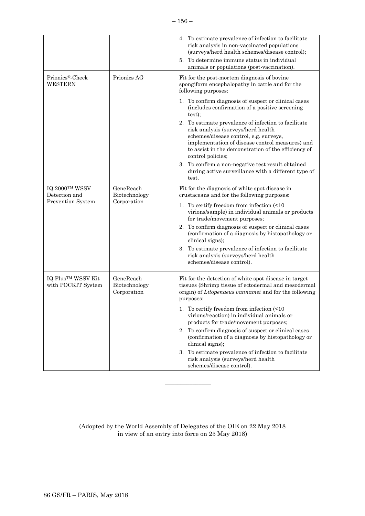|                                                      |                                           | 4. To estimate prevalence of infection to facilitate<br>risk analysis in non-vaccinated populations<br>(surveys/herd health schemes/disease control);<br>To determine immune status in individual<br>5.<br>animals or populations (post-vaccination).                  |
|------------------------------------------------------|-------------------------------------------|------------------------------------------------------------------------------------------------------------------------------------------------------------------------------------------------------------------------------------------------------------------------|
| Prionics®-Check<br><b>WESTERN</b>                    | Prionics AG                               | Fit for the post-mortem diagnosis of bovine<br>spongiform encephalopathy in cattle and for the<br>following purposes:                                                                                                                                                  |
|                                                      |                                           | 1. To confirm diagnosis of suspect or clinical cases<br>(includes confirmation of a positive screening<br>test);                                                                                                                                                       |
|                                                      |                                           | To estimate prevalence of infection to facilitate<br>2.<br>risk analysis (surveys/herd health<br>schemes/disease control, e.g. surveys,<br>implementation of disease control measures) and<br>to assist in the demonstration of the efficiency of<br>control policies; |
|                                                      |                                           | To confirm a non-negative test result obtained<br>3.<br>during active surveillance with a different type of<br>test.                                                                                                                                                   |
| IQ 2000TM WSSV<br>Detection and                      | GeneReach<br>Biotechnology                | Fit for the diagnosis of white spot disease in<br>crustaceans and for the following purposes:                                                                                                                                                                          |
| Prevention System                                    | Corporation                               | To certify freedom from infection (<10)<br>ı.<br>virions/sample) in individual animals or products<br>for trade/movement purposes;                                                                                                                                     |
|                                                      |                                           | To confirm diagnosis of suspect or clinical cases<br>2.<br>(confirmation of a diagnosis by histopathology or<br>clinical signs);                                                                                                                                       |
|                                                      |                                           | To estimate prevalence of infection to facilitate<br>3.<br>risk analysis (surveys/herd health<br>schemes/disease control).                                                                                                                                             |
| IQ Plus <sup>TM</sup> WSSV Kit<br>with POCKIT System | GeneReach<br>Biotechnology<br>Corporation | Fit for the detection of white spot disease in target<br>tissues (Shrimp tissue of ectodermal and mesodermal<br>origin) of Litopenaeus vannamei and for the following<br>purposes:                                                                                     |
|                                                      |                                           | 1. To certify freedom from infection (<10<br>virions/reaction) in individual animals or<br>products for trade/movement purposes;                                                                                                                                       |
|                                                      |                                           | 2. To confirm diagnosis of suspect or clinical cases<br>(confirmation of a diagnosis by histopathology or<br>clinical signs);                                                                                                                                          |
|                                                      |                                           | To estimate prevalence of infection to facilitate<br>3.<br>risk analysis (surveys/herd health<br>schemes/disease control).                                                                                                                                             |

(Adopted by the World Assembly of Delegates of the OIE on 22 May 2018 in view of an entry into force on 25 May 2018)

 $\overline{\phantom{a}}$  , where  $\overline{\phantom{a}}$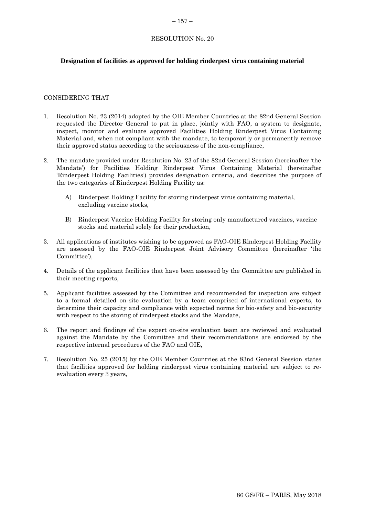# RESOLUTION No. 20

# **Designation of facilities as approved for holding rinderpest virus containing material**

### CONSIDERING THAT

- 1. Resolution No. 23 (2014) adopted by the OIE Member Countries at the 82nd General Session requested the Director General to put in place, jointly with FAO, a system to designate, inspect, monitor and evaluate approved Facilities Holding Rinderpest Virus Containing Material and, when not compliant with the mandate, to temporarily or permanently remove their approved status according to the seriousness of the non-compliance,
- 2. The mandate provided under Resolution No. 23 of the 82nd General Session (hereinafter 'the Mandate') for Facilities Holding Rinderpest Virus Containing Material (hereinafter 'Rinderpest Holding Facilities') provides designation criteria, and describes the purpose of the two categories of Rinderpest Holding Facility as:
	- A) Rinderpest Holding Facility for storing rinderpest virus containing material, excluding vaccine stocks,
	- B) Rinderpest Vaccine Holding Facility for storing only manufactured vaccines, vaccine stocks and material solely for their production,
- 3. All applications of institutes wishing to be approved as FAO-OIE Rinderpest Holding Facility are assessed by the FAO-OIE Rinderpest Joint Advisory Committee (hereinafter 'the Committee'),
- 4. Details of the applicant facilities that have been assessed by the Committee are published in their meeting reports,
- 5. Applicant facilities assessed by the Committee and recommended for inspection are subject to a formal detailed on-site evaluation by a team comprised of international experts, to determine their capacity and compliance with expected norms for bio-safety and bio-security with respect to the storing of rinderpest stocks and the Mandate,
- 6. The report and findings of the expert on-site evaluation team are reviewed and evaluated against the Mandate by the Committee and their recommendations are endorsed by the respective internal procedures of the FAO and OIE,
- 7. Resolution No. 25 (2015) by the OIE Member Countries at the 83nd General Session states that facilities approved for holding rinderpest virus containing material are subject to reevaluation every 3 years,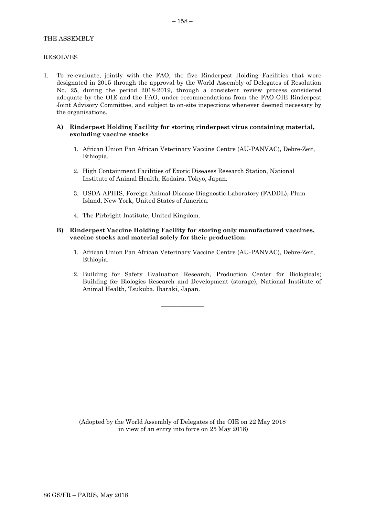# THE ASSEMBLY

### RESOLVES

1. To re-evaluate, jointly with the FAO, the five Rinderpest Holding Facilities that were designated in 2015 through the approval by the World Assembly of Delegates of Resolution No. 25, during the period 2018-2019, through a consistent review process considered adequate by the OIE and the FAO, under recommendations from the FAO-OIE Rinderpest Joint Advisory Committee, and subject to on-site inspections whenever deemed necessary by the organisations.

#### **A) Rinderpest Holding Facility for storing rinderpest virus containing material, excluding vaccine stocks**

- 1. African Union Pan African Veterinary Vaccine Centre (AU-PANVAC), Debre-Zeit, Ethiopia.
- 2. High Containment Facilities of Exotic Diseases Research Station, National Institute of Animal Health, Kodaira, Tokyo, Japan.
- 3. USDA-APHIS, Foreign Animal Disease Diagnostic Laboratory (FADDL), Plum Island, New York, United States of America.
- 4. The Pirbright Institute, United Kingdom.

#### **B) Rinderpest Vaccine Holding Facility for storing only manufactured vaccines, vaccine stocks and material solely for their production:**

 $\overline{\phantom{a}}$  , where  $\overline{\phantom{a}}$ 

- 1. African Union Pan African Veterinary Vaccine Centre (AU-PANVAC), Debre-Zeit, Ethiopia.
- 2. Building for Safety Evaluation Research, Production Center for Biologicals; Building for Biologics Research and Development (storage), National Institute of Animal Health, Tsukuba, Ibaraki, Japan.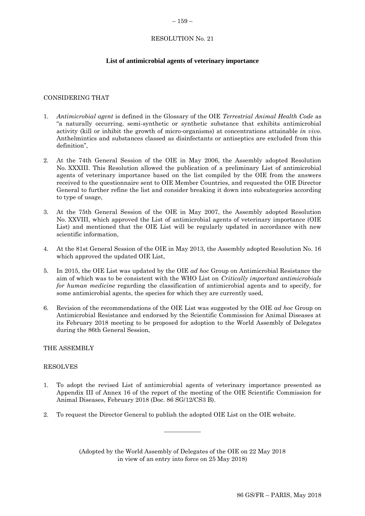#### $-159-$

# RESOLUTION No. 21

# **List of antimicrobial agents of veterinary importance**

# CONSIDERING THAT

- 1. *Antimicrobial agent* is defined in the Glossary of the OIE *Terrestrial Animal Health Code* as "a naturally occurring, semi-synthetic or synthetic substance that exhibits antimicrobial activity (kill or inhibit the growth of micro-organisms) at concentrations attainable *in vivo*. Anthelmintics and substances classed as disinfectants or antiseptics are excluded from this definition",
- 2. At the 74th General Session of the OIE in May 2006, the Assembly adopted Resolution No. XXXIII. This Resolution allowed the publication of a preliminary List of antimicrobial agents of veterinary importance based on the list compiled by the OIE from the answers received to the questionnaire sent to OIE Member Countries, and requested the OIE Director General to further refine the list and consider breaking it down into subcategories according to type of usage,
- 3. At the 75th General Session of the OIE in May 2007, the Assembly adopted Resolution No. XXVIII, which approved the List of antimicrobial agents of veterinary importance (OIE List) and mentioned that the OIE List will be regularly updated in accordance with new scientific information,
- 4. At the 81st General Session of the OIE in May 2013, the Assembly adopted Resolution No. 16 which approved the updated OIE List,
- 5. In 2015, the OIE List was updated by the OIE *ad hoc* Group on Antimicrobial Resistance the aim of which was to be consistent with the WHO List on *Critically important antimicrobials for human medicine* regarding the classification of antimicrobial agents and to specify, for some antimicrobial agents, the species for which they are currently used,
- 6. Revision of the recommendations of the OIE List was suggested by the OIE *ad hoc* Group on Antimicrobial Resistance and endorsed by the Scientific Commission for Animal Diseases at its February 2018 meeting to be proposed for adoption to the World Assembly of Delegates during the 86th General Session,

#### THE ASSEMBLY

#### RESOLVES

- 1. To adopt the revised List of antimicrobial agents of veterinary importance presented as Appendix III of Annex 16 of the report of the meeting of the OIE Scientific Commission for Animal Diseases, February 2018 (Doc. 86 SG/12/CS3 B).
- 2. To request the Director General to publish the adopted OIE List on the OIE website.

(Adopted by the World Assembly of Delegates of the OIE on 22 May 2018 in view of an entry into force on 25 May 2018)

 $\overline{\phantom{a}}$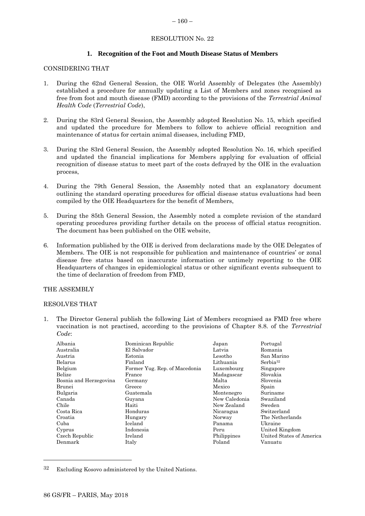# <span id="page-33-0"></span> $-160-$

# RESOLUTION No. 22

# **1. Recognition of the Foot and Mouth Disease Status of Members**

### CONSIDERING THAT

- 1. During the 62nd General Session, the OIE World Assembly of Delegates (the Assembly) established a procedure for annually updating a List of Members and zones recognised as free from foot and mouth disease (FMD) according to the provisions of the *Terrestrial Animal Health Code* (*Terrestrial Code*),
- 2. During the 83rd General Session, the Assembly adopted Resolution No. 15, which specified and updated the procedure for Members to follow to achieve official recognition and maintenance of status for certain animal diseases, including FMD,
- 3. During the 83rd General Session, the Assembly adopted Resolution No. 16, which specified and updated the financial implications for Members applying for evaluation of official recognition of disease status to meet part of the costs defrayed by the OIE in the evaluation process,
- 4. During the 79th General Session, the Assembly noted that an explanatory document outlining the standard operating procedures for official disease status evaluations had been compiled by the OIE Headquarters for the benefit of Members,
- 5. During the 85th General Session, the Assembly noted a complete revision of the standard operating procedures providing further details on the process of official status recognition. The document has been published on the OIE website,
- 6. Information published by the OIE is derived from declarations made by the OIE Delegates of Members. The OIE is not responsible for publication and maintenance of countries' or zonal disease free status based on inaccurate information or untimely reporting to the OIE Headquarters of changes in epidemiological status or other significant events subsequent to the time of declaration of freedom from FMD,

#### THE ASSEMBLY

#### RESOLVES THAT

1. The Director General publish the following List of Members recognised as FMD free where vaccination is not practised, according to the provisions of Chapter 8.8. of the *Terrestrial Code*:

| Albania                | Dominican Republic            | Japan         | Portugal                 |
|------------------------|-------------------------------|---------------|--------------------------|
| Australia              | El Salvador                   | Latvia        | Romania                  |
| Austria                | Estonia                       | Lesotho       | San Marino               |
| Belarus                | Finland                       | Lithuania     | Serbia <sup>32</sup>     |
| Belgium                | Former Yug. Rep. of Macedonia | Luxembourg    | Singapore                |
| Belize                 | France                        | Madagascar    | Slovakia                 |
| Bosnia and Herzegovina | Germany                       | Malta         | Slovenia                 |
| Brunei                 | Greece                        | Mexico        | Spain                    |
| Bulgaria               | Guatemala                     | Montenegro    | Suriname                 |
| Canada                 | Guyana                        | New Caledonia | Swaziland                |
| Chile                  | Haiti                         | New Zealand   | Sweden                   |
| Costa Rica             | Honduras                      | Nicaragua     | Switzerland              |
| Croatia                | Hungary                       | Norway        | The Netherlands          |
| Cuba                   | Iceland                       | Panama        | Ukraine                  |
| Cyprus                 | Indonesia                     | Peru          | United Kingdom           |
| Czech Republic         | Ireland                       | Philippines   | United States of America |
| Denmark                | Italy                         | Poland        | Vanuatu                  |
|                        |                               |               |                          |

<sup>32</sup> Excluding Kosovo administered by the United Nations.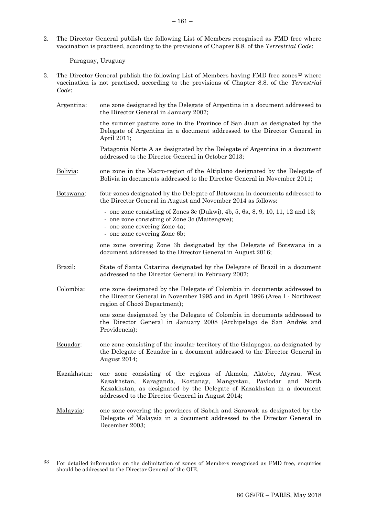2. The Director General publish the following List of Members recognised as FMD free where vaccination is practised, according to the provisions of Chapter 8.8. of the *Terrestrial Code*:

Paraguay, Uruguay

- 3. The Director General publish the following List of Members having FMD free zones<sup>33</sup> where vaccination is not practised, according to the provisions of Chapter 8.8. of the *Terrestrial Code*:
	- Argentina: one zone designated by the Delegate of Argentina in a document addressed to the Director General in January 2007; the summer pasture zone in the Province of San Juan as designated by the Delegate of Argentina in a document addressed to the Director General in April 2011; Patagonia Norte A as designated by the Delegate of Argentina in a document addressed to the Director General in October 2013; Bolivia: one zone in the Macro-region of the Altiplano designated by the Delegate of Bolivia in documents addressed to the Director General in November 2011; Botswana: four zones designated by the Delegate of Botswana in documents addressed to the Director General in August and November 2014 as follows: - one zone consisting of Zones 3c (Dukwi), 4b, 5, 6a, 8, 9, 10, 11, 12 and 13; - one zone consisting of Zone 3c (Maitengwe); - one zone covering Zone 4a; - one zone covering Zone 6b; one zone covering Zone 3b designated by the Delegate of Botswana in a document addressed to the Director General in August 2016; Brazil: State of Santa Catarina designated by the Delegate of Brazil in a document addressed to the Director General in February 2007; Colombia: one zone designated by the Delegate of Colombia in documents addressed to the Director General in November 1995 and in April 1996 (Area I - Northwest region of Chocó Department); one zone designated by the Delegate of Colombia in documents addressed to the Director General in January 2008 (Archipelago de San Andrés and Providencia); Ecuador: one zone consisting of the insular territory of the Galapagos, as designated by the Delegate of Ecuador in a document addressed to the Director General in August 2014; Kazakhstan: one zone consisting of the regions of Akmola, Aktobe, Atyrau, West Kazakhstan, Karaganda, Kostanay, Mangystau, Pavlodar and North Kazakhstan, as designated by the Delegate of Kazakhstan in a document addressed to the Director General in August 2014; Malaysia: one zone covering the provinces of Sabah and Sarawak as designated by the Delegate of Malaysia in a document addressed to the Director General in December 2003;

<sup>33</sup> For detailed information on the delimitation of zones of Members recognised as FMD free, enquiries should be addressed to the Director General of the OIE.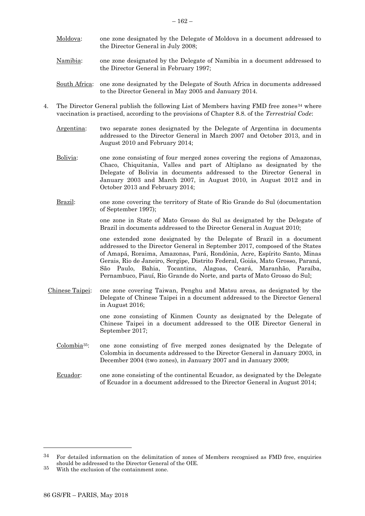- Moldova: one zone designated by the Delegate of Moldova in a document addressed to the Director General in July 2008;
- Namibia: one zone designated by the Delegate of Namibia in a document addressed to the Director General in February 1997;
- South Africa: one zone designated by the Delegate of South Africa in documents addressed to the Director General in May 2005 and January 2014.
- 4. The Director General publish the following List of Members having FMD free zones<sup>34</sup> where vaccination is practised, according to the provisions of Chapter 8.8. of the *Terrestrial Code*:
	- Argentina: two separate zones designated by the Delegate of Argentina in documents addressed to the Director General in March 2007 and October 2013, and in August 2010 and February 2014;
	- Bolivia: one zone consisting of four merged zones covering the regions of Amazonas, Chaco, Chiquitania, Valles and part of Altiplano as designated by the Delegate of Bolivia in documents addressed to the Director General in January 2003 and March 2007, in August 2010, in August 2012 and in October 2013 and February 2014;
	- Brazil: one zone covering the territory of State of Rio Grande do Sul (documentation of September 1997);

one zone in State of Mato Grosso do Sul as designated by the Delegate of Brazil in documents addressed to the Director General in August 2010;

one extended zone designated by the Delegate of Brazil in a document addressed to the Director General in September 2017, composed of the States of Amapá, Roraima, Amazonas, Pará, Rondônia, Acre, Espírito Santo, Minas Gerais, Rio de Janeiro, Sergipe, Distrito Federal, Goiás, Mato Grosso, Paraná, São Paulo, Bahia, Tocantins, Alagoas, Ceará, Maranhão, Paraíba, Pernambuco, Piauí, Rio Grande do Norte, and parts of Mato Grosso do Sul;

Chinese Taipei: one zone covering Taiwan, Penghu and Matsu areas, as designated by the Delegate of Chinese Taipei in a document addressed to the Director General in August 2016;

> one zone consisting of Kinmen County as designated by the Delegate of Chinese Taipei in a document addressed to the OIE Director General in September 2017;

- Colombia35: one zone consisting of five merged zones designated by the Delegate of Colombia in documents addressed to the Director General in January 2003, in December 2004 (two zones), in January 2007 and in January 2009;
- Ecuador: one zone consisting of the continental Ecuador, as designated by the Delegate of Ecuador in a document addressed to the Director General in August 2014;

 $34$  For detailed information on the delimitation of zones of Members recognised as FMD free, enquiries should be addressed to the Director General of the OIE.

<sup>35</sup> With the exclusion of the containment zone.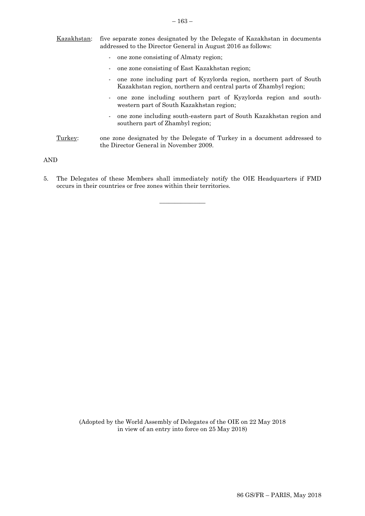| Kazakhstan: | five separate zones designated by the Delegate of Kazakhstan in documents<br>addressed to the Director General in August 2016 as follows:                 |  |
|-------------|-----------------------------------------------------------------------------------------------------------------------------------------------------------|--|
|             | one zone consisting of Almaty region;<br>$\blacksquare$                                                                                                   |  |
|             | one zone consisting of East Kazakhstan region;                                                                                                            |  |
|             | one zone including part of Kyzylorda region, northern part of South<br>$\blacksquare$<br>Kazakhstan region, northern and central parts of Zhambyl region; |  |
|             | - one zone including southern part of Kyzylorda region and south-<br>western part of South Kazakhstan region;                                             |  |
|             | - one zone including south-eastern part of South Kazakhstan region and<br>southern part of Zhambyl region;                                                |  |
| Turkev:     | one zone designated by the Delegate of Turkey in a document addressed to<br>the Director General in November 2009.                                        |  |

AND

5. The Delegates of these Members shall immediately notify the OIE Headquarters if FMD occurs in their countries or free zones within their territories.

 $\overline{\phantom{a}}$  , where  $\overline{\phantom{a}}$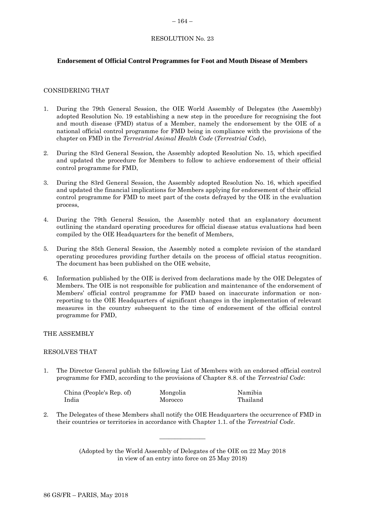#### <span id="page-37-0"></span>– 164 –

# RESOLUTION No. 23

# **Endorsement of Official Control Programmes for Foot and Mouth Disease of Members**

# CONSIDERING THAT

- 1. During the 79th General Session, the OIE World Assembly of Delegates (the Assembly) adopted Resolution No. 19 establishing a new step in the procedure for recognising the foot and mouth disease (FMD) status of a Member, namely the endorsement by the OIE of a national official control programme for FMD being in compliance with the provisions of the chapter on FMD in the *Terrestrial Animal Health Code* (*Terrestrial Code*),
- 2. During the 83rd General Session, the Assembly adopted Resolution No. 15, which specified and updated the procedure for Members to follow to achieve endorsement of their official control programme for FMD,
- 3. During the 83rd General Session, the Assembly adopted Resolution No. 16, which specified and updated the financial implications for Members applying for endorsement of their official control programme for FMD to meet part of the costs defrayed by the OIE in the evaluation process,
- 4. During the 79th General Session, the Assembly noted that an explanatory document outlining the standard operating procedures for official disease status evaluations had been compiled by the OIE Headquarters for the benefit of Members,
- 5. During the 85th General Session, the Assembly noted a complete revision of the standard operating procedures providing further details on the process of official status recognition. The document has been published on the OIE website,
- 6. Information published by the OIE is derived from declarations made by the OIE Delegates of Members. The OIE is not responsible for publication and maintenance of the endorsement of Members' official control programme for FMD based on inaccurate information or nonreporting to the OIE Headquarters of significant changes in the implementation of relevant measures in the country subsequent to the time of endorsement of the official control programme for FMD,

# THE ASSEMBLY

#### RESOLVES THAT

1. The Director General publish the following List of Members with an endorsed official control programme for FMD, according to the provisions of Chapter 8.8. of the *Terrestrial Code*:

| China (People's Rep. of) | Mongolia | Namibia  |
|--------------------------|----------|----------|
| India                    | Morocco  | Thailand |

2. The Delegates of these Members shall notify the OIE Headquarters the occurrence of FMD in their countries or territories in accordance with Chapter 1.1. of the *Terrestrial Code*.

\_\_\_\_\_\_\_\_\_\_\_\_\_\_\_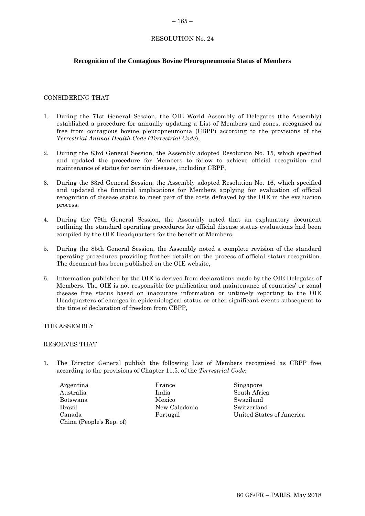#### <span id="page-38-0"></span> $-165-$

# RESOLUTION No. 24

# **Recognition of the Contagious Bovine Pleuropneumonia Status of Members**

### CONSIDERING THAT

- 1. During the 71st General Session, the OIE World Assembly of Delegates (the Assembly) established a procedure for annually updating a List of Members and zones, recognised as free from contagious bovine pleuropneumonia (CBPP) according to the provisions of the *Terrestrial Animal Health Code* (*Terrestrial Code*),
- 2. During the 83rd General Session, the Assembly adopted Resolution No. 15, which specified and updated the procedure for Members to follow to achieve official recognition and maintenance of status for certain diseases, including CBPP,
- 3. During the 83rd General Session, the Assembly adopted Resolution No. 16, which specified and updated the financial implications for Members applying for evaluation of official recognition of disease status to meet part of the costs defrayed by the OIE in the evaluation process,
- 4. During the 79th General Session, the Assembly noted that an explanatory document outlining the standard operating procedures for official disease status evaluations had been compiled by the OIE Headquarters for the benefit of Members,
- 5. During the 85th General Session, the Assembly noted a complete revision of the standard operating procedures providing further details on the process of official status recognition. The document has been published on the OIE website,
- 6. Information published by the OIE is derived from declarations made by the OIE Delegates of Members. The OIE is not responsible for publication and maintenance of countries' or zonal disease free status based on inaccurate information or untimely reporting to the OIE Headquarters of changes in epidemiological status or other significant events subsequent to the time of declaration of freedom from CBPP,

### THE ASSEMBLY

#### RESOLVES THAT

- 1. The Director General publish the following List of Members recognised as CBPP free according to the provisions of Chapter 11.5. of the *Terrestrial Code*:
	- Argentina Australia Botswana Brazil Canada China (People's Rep. of)

France India Mexico New Caledonia Portugal

Singapore South Africa Swaziland Switzerland United States of America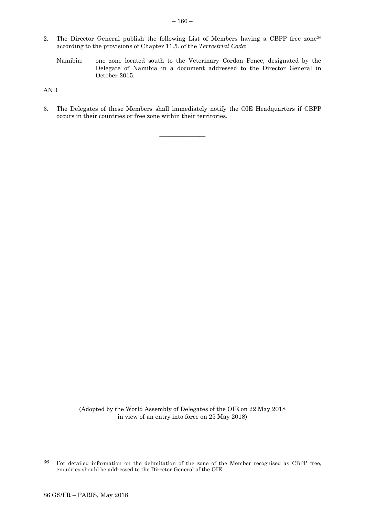- 2. The Director General publish the following List of Members having a CBPP free zone<sup>36</sup> according to the provisions of Chapter 11.5. of the *Terrestrial Code*:
	- Namibia: one zone located south to the Veterinary Cordon Fence, designated by the Delegate of Namibia in a document addressed to the Director General in October 2015.

AND

3. The Delegates of these Members shall immediately notify the OIE Headquarters if CBPP occurs in their countries or free zone within their territories.

\_\_\_\_\_\_\_\_\_\_\_\_\_\_\_

(Adopted by the World Assembly of Delegates of the OIE on 22 May 2018 in view of an entry into force on 25 May 2018)

<sup>36</sup> For detailed information on the delimitation of the zone of the Member recognised as CBPP free, enquiries should be addressed to the Director General of the OIE.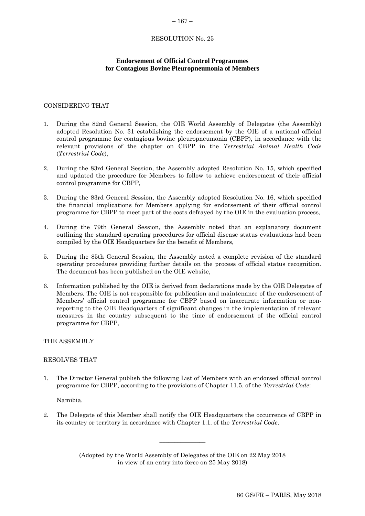#### <span id="page-40-0"></span> $-167-$

#### RESOLUTION No. 25

# **Endorsement of Official Control Programmes for Contagious Bovine Pleuropneumonia of Members**

# CONSIDERING THAT

- 1. During the 82nd General Session, the OIE World Assembly of Delegates (the Assembly) adopted Resolution No. 31 establishing the endorsement by the OIE of a national official control programme for contagious bovine pleuropneumonia (CBPP), in accordance with the relevant provisions of the chapter on CBPP in the *Terrestrial Animal Health Code* (*Terrestrial Code*),
- 2. During the 83rd General Session, the Assembly adopted Resolution No. 15, which specified and updated the procedure for Members to follow to achieve endorsement of their official control programme for CBPP,
- 3. During the 83rd General Session, the Assembly adopted Resolution No. 16, which specified the financial implications for Members applying for endorsement of their official control programme for CBPP to meet part of the costs defrayed by the OIE in the evaluation process,
- 4. During the 79th General Session, the Assembly noted that an explanatory document outlining the standard operating procedures for official disease status evaluations had been compiled by the OIE Headquarters for the benefit of Members,
- 5. During the 85th General Session, the Assembly noted a complete revision of the standard operating procedures providing further details on the process of official status recognition. The document has been published on the OIE website,
- 6. Information published by the OIE is derived from declarations made by the OIE Delegates of Members. The OIE is not responsible for publication and maintenance of the endorsement of Members' official control programme for CBPP based on inaccurate information or nonreporting to the OIE Headquarters of significant changes in the implementation of relevant measures in the country subsequent to the time of endorsement of the official control programme for CBPP,

THE ASSEMBLY

### RESOLVES THAT

1. The Director General publish the following List of Members with an endorsed official control programme for CBPP, according to the provisions of Chapter 11.5. of the *Terrestrial Code*:

Namibia.

2. The Delegate of this Member shall notify the OIE Headquarters the occurrence of CBPP in its country or territory in accordance with Chapter 1.1. of the *Terrestrial Code*.

> (Adopted by the World Assembly of Delegates of the OIE on 22 May 2018 in view of an entry into force on 25 May 2018)

\_\_\_\_\_\_\_\_\_\_\_\_\_\_\_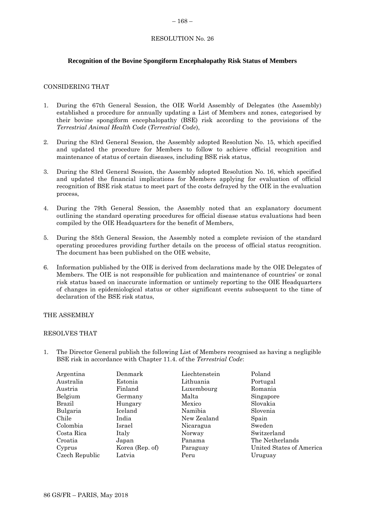#### <span id="page-41-0"></span> $-168-$

# RESOLUTION No. 26

# **Recognition of the Bovine Spongiform Encephalopathy Risk Status of Members**

# CONSIDERING THAT

- 1. During the 67th General Session, the OIE World Assembly of Delegates (the Assembly) established a procedure for annually updating a List of Members and zones, categorised by their bovine spongiform encephalopathy (BSE) risk according to the provisions of the *Terrestrial Animal Health Code* (*Terrestrial Code*),
- 2. During the 83rd General Session, the Assembly adopted Resolution No. 15, which specified and updated the procedure for Members to follow to achieve official recognition and maintenance of status of certain diseases, including BSE risk status,
- 3. During the 83rd General Session, the Assembly adopted Resolution No. 16, which specified and updated the financial implications for Members applying for evaluation of official recognition of BSE risk status to meet part of the costs defrayed by the OIE in the evaluation process,
- 4. During the 79th General Session, the Assembly noted that an explanatory document outlining the standard operating procedures for official disease status evaluations had been compiled by the OIE Headquarters for the benefit of Members,
- 5. During the 85th General Session, the Assembly noted a complete revision of the standard operating procedures providing further details on the process of official status recognition. The document has been published on the OIE website,
- 6. Information published by the OIE is derived from declarations made by the OIE Delegates of Members. The OIE is not responsible for publication and maintenance of countries' or zonal risk status based on inaccurate information or untimely reporting to the OIE Headquarters of changes in epidemiological status or other significant events subsequent to the time of declaration of the BSE risk status,

# THE ASSEMBLY

# RESOLVES THAT

1. The Director General publish the following List of Members recognised as having a negligible BSE risk in accordance with Chapter 11.4. of the *Terrestrial Code*:

| Argentina      | Denmark         | Liechtenstein | Poland                   |
|----------------|-----------------|---------------|--------------------------|
| Australia      | Estonia         | Lithuania     | Portugal                 |
| Austria        | Finland         | Luxembourg    | Romania                  |
| Belgium        | Germany         | Malta         | Singapore                |
| <b>Brazil</b>  | Hungary         | Mexico        | Slovakia                 |
| Bulgaria       | Iceland         | Namibia       | Slovenia                 |
| Chile          | India           | New Zealand   | Spain                    |
| Colombia       | Israel          | Nicaragua     | Sweden                   |
| Costa Rica     | Italy           | Norway        | Switzerland              |
| Croatia        | Japan           | Panama        | The Netherlands          |
| Cyprus         | Korea (Rep. of) | Paraguay      | United States of America |
| Czech Republic | Latvia          | Peru          | Uruguay                  |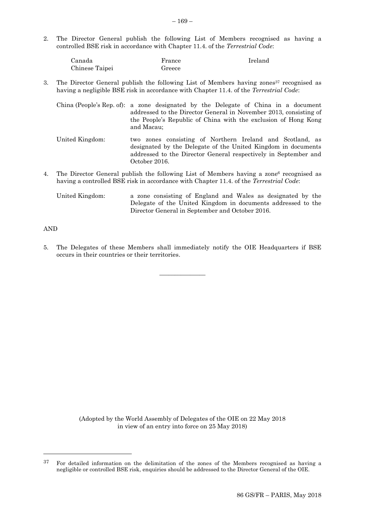2. The Director General publish the following List of Members recognised as having a controlled BSE risk in accordance with Chapter 11.4. of the *Terrestrial Code*:

| Canada         | France | Ireland |
|----------------|--------|---------|
| Chinese Taipei | Greece |         |

3. The Director General publish the following List of Members having zones  $37 \text{ recognized as}$ having a negligible BSE risk in accordance with Chapter 11.4. of the *Terrestrial Code*:

China (People's Rep. of): a zone designated by the Delegate of China in a document addressed to the Director General in November 2013, consisting of the People's Republic of China with the exclusion of Hong Kong and Macau;

- United Kingdom: two zones consisting of Northern Ireland and Scotland, as designated by the Delegate of the United Kingdom in documents addressed to the Director General respectively in September and October 2016.
- 4. The Director General publish the following List of Members having a zone<sup>6</sup> recognised as having a controlled BSE risk in accordance with Chapter 11.4. of the *Terrestrial Code*:

United Kingdom: a zone consisting of England and Wales as designated by the Delegate of the United Kingdom in documents addressed to the Director General in September and October 2016.

# AND

l

5. The Delegates of these Members shall immediately notify the OIE Headquarters if BSE occurs in their countries or their territories.

\_\_\_\_\_\_\_\_\_\_\_\_\_\_\_

<sup>37</sup> For detailed information on the delimitation of the zones of the Members recognised as having a negligible or controlled BSE risk, enquiries should be addressed to the Director General of the OIE.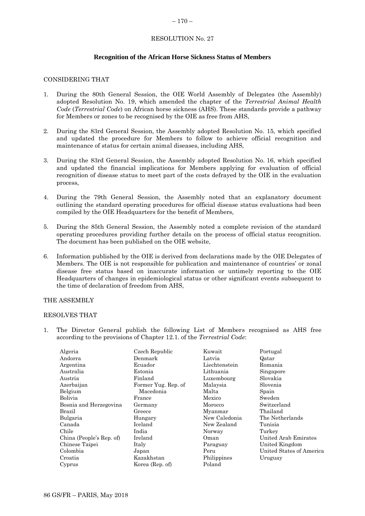#### <span id="page-43-0"></span> $-170-$

# RESOLUTION No. 27

### **Recognition of the African Horse Sickness Status of Members**

### CONSIDERING THAT

- 1. During the 80th General Session, the OIE World Assembly of Delegates (the Assembly) adopted Resolution No. 19, which amended the chapter of the *Terrestrial Animal Health Code* (*Terrestrial Code*) on African horse sickness (AHS). These standards provide a pathway for Members or zones to be recognised by the OIE as free from AHS,
- 2. During the 83rd General Session, the Assembly adopted Resolution No. 15, which specified and updated the procedure for Members to follow to achieve official recognition and maintenance of status for certain animal diseases, including AHS,
- 3. During the 83rd General Session, the Assembly adopted Resolution No. 16, which specified and updated the financial implications for Members applying for evaluation of official recognition of disease status to meet part of the costs defrayed by the OIE in the evaluation process,
- 4. During the 79th General Session, the Assembly noted that an explanatory document outlining the standard operating procedures for official disease status evaluations had been compiled by the OIE Headquarters for the benefit of Members,
- 5. During the 85th General Session, the Assembly noted a complete revision of the standard operating procedures providing further details on the process of official status recognition. The document has been published on the OIE website,
- 6. Information published by the OIE is derived from declarations made by the OIE Delegates of Members. The OIE is not responsible for publication and maintenance of countries' or zonal disease free status based on inaccurate information or untimely reporting to the OIE Headquarters of changes in epidemiological status or other significant events subsequent to the time of declaration of freedom from AHS,

#### THE ASSEMBLY

#### RESOLVES THAT

1. The Director General publish the following List of Members recognised as AHS free according to the provisions of Chapter 12.1. of the *Terrestrial Code*:

| Algeria                  | Czech Republic      | Kuwait        | Portugal                 |
|--------------------------|---------------------|---------------|--------------------------|
| Andorra                  | Denmark             | Latvia        | Qatar                    |
| Argentina                | Ecuador             | Liechtenstein | Romania                  |
| Australia                | Estonia             | Lithuania     | Singapore                |
| Austria                  | Finland             | Luxembourg    | Slovakia                 |
| Azerbaijan               | Former Yug. Rep. of | Malaysia      | Slovenia                 |
| Belgium                  | Macedonia           | Malta         | Spain                    |
| Bolivia                  | France              | Mexico        | Sweden                   |
| Bosnia and Herzegovina   | Germany             | Morocco       | Switzerland              |
| Brazil                   | Greece              | Myanmar       | Thailand                 |
| Bulgaria                 | Hungary             | New Caledonia | The Netherlands          |
| Canada                   | Iceland             | New Zealand   | Tunisia                  |
| Chile                    | India               | Norway        | Turkey                   |
| China (People's Rep. of) | Ireland             | Oman          | United Arab Emirates     |
| Chinese Taipei           | Italy               | Paraguay      | United Kingdom           |
| Colombia                 | Japan               | Peru          | United States of America |
| Croatia                  | Kazakhstan          | Philippines   | Uruguay                  |
| Cyprus                   | Korea (Rep. of)     | Poland        |                          |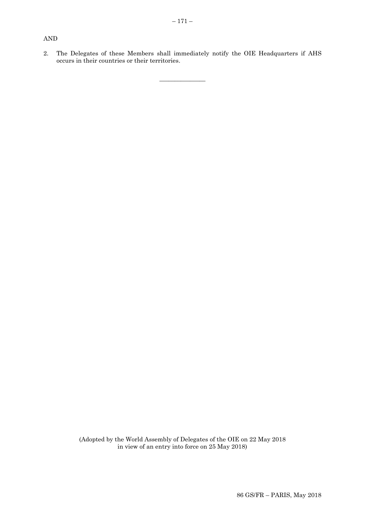# AND

2. The Delegates of these Members shall immediately notify the OIE Headquarters if AHS occurs in their countries or their territories.

\_\_\_\_\_\_\_\_\_\_\_\_\_\_\_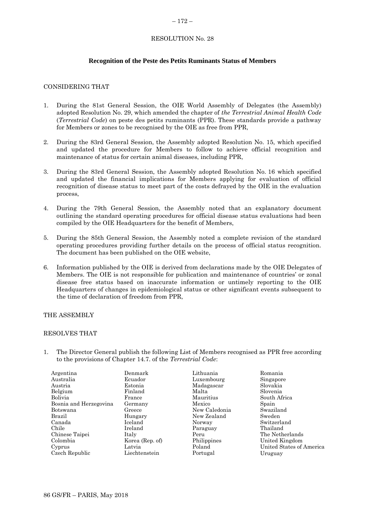#### <span id="page-45-0"></span> $-172-$

# RESOLUTION No. 28

# **Recognition of the Peste des Petits Ruminants Status of Members**

### CONSIDERING THAT

- 1. During the 81st General Session, the OIE World Assembly of Delegates (the Assembly) adopted Resolution No. 29, which amended the chapter of *the Terrestrial Animal Health Code* (*Terrestrial Code*) on peste des petits ruminants (PPR). These standards provide a pathway for Members or zones to be recognised by the OIE as free from PPR,
- 2. During the 83rd General Session, the Assembly adopted Resolution No. 15, which specified and updated the procedure for Members to follow to achieve official recognition and maintenance of status for certain animal diseases, including PPR,
- 3. During the 83rd General Session, the Assembly adopted Resolution No. 16 which specified and updated the financial implications for Members applying for evaluation of official recognition of disease status to meet part of the costs defrayed by the OIE in the evaluation process,
- 4. During the 79th General Session, the Assembly noted that an explanatory document outlining the standard operating procedures for official disease status evaluations had been compiled by the OIE Headquarters for the benefit of Members,
- 5. During the 85th General Session, the Assembly noted a complete revision of the standard operating procedures providing further details on the process of official status recognition. The document has been published on the OIE website,
- 6. Information published by the OIE is derived from declarations made by the OIE Delegates of Members. The OIE is not responsible for publication and maintenance of countries' or zonal disease free status based on inaccurate information or untimely reporting to the OIE Headquarters of changes in epidemiological status or other significant events subsequent to the time of declaration of freedom from PPR,

#### THE ASSEMBLY

#### RESOLVES THAT

1. The Director General publish the following List of Members recognised as PPR free according to the provisions of Chapter 14.7. of the *Terrestrial Code*:

| Argentina              | Denmark         | Lithuania     | Romania                  |
|------------------------|-----------------|---------------|--------------------------|
| Australia              | Ecuador         | Luxembourg    | Singapore                |
| Austria                | Estonia         | Madagascar    | Slovakia                 |
| Belgium                | Finland         | Malta         | Slovenia                 |
| Bolivia                | France          | Mauritius     | South Africa             |
| Bosnia and Herzegovina | Germany         | Mexico        | Spain                    |
| Botswana               | Greece          | New Caledonia | Swaziland                |
| Brazil                 | Hungary         | New Zealand   | Sweden                   |
| Canada                 | Iceland         | Norway        | Switzerland              |
| Chile                  | Ireland         | Paraguay      | Thailand                 |
| Chinese Taipei         | Italy           | Peru          | The Netherlands          |
| Colombia               | Korea (Rep. of) | Philippines   | United Kingdom           |
| Cyprus                 | Latvia          | Poland        | United States of America |
| Czech Republic         | Liechtenstein   | Portugal      | Uruguay                  |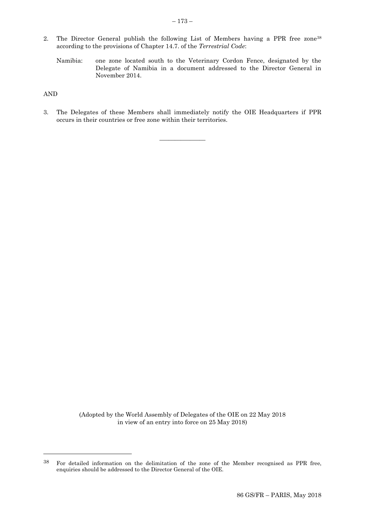- 2. The Director General publish the following List of Members having a PPR free zone<sup>38</sup> according to the provisions of Chapter 14.7. of the *Terrestrial Code*:
	- Namibia: one zone located south to the Veterinary Cordon Fence, designated by the Delegate of Namibia in a document addressed to the Director General in November 2014.

AND

l

3. The Delegates of these Members shall immediately notify the OIE Headquarters if PPR occurs in their countries or free zone within their territories.

\_\_\_\_\_\_\_\_\_\_\_\_\_\_\_

<sup>38</sup> For detailed information on the delimitation of the zone of the Member recognised as PPR free, enquiries should be addressed to the Director General of the OIE.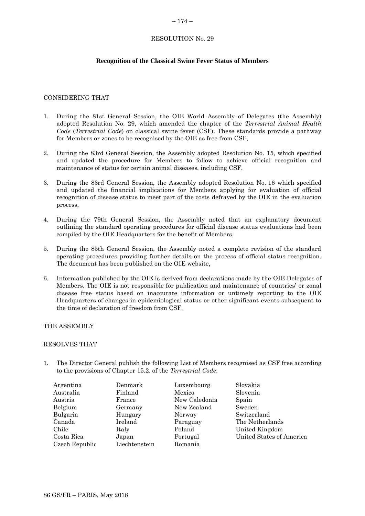#### <span id="page-47-0"></span> $-174-$

# RESOLUTION No. 29

# **Recognition of the Classical Swine Fever Status of Members**

### CONSIDERING THAT

- 1. During the 81st General Session, the OIE World Assembly of Delegates (the Assembly) adopted Resolution No. 29, which amended the chapter of the *Terrestrial Animal Health Code* (*Terrestrial Code*) on classical swine fever (CSF). These standards provide a pathway for Members or zones to be recognised by the OIE as free from CSF,
- 2. During the 83rd General Session, the Assembly adopted Resolution No. 15, which specified and updated the procedure for Members to follow to achieve official recognition and maintenance of status for certain animal diseases, including CSF,
- 3. During the 83rd General Session, the Assembly adopted Resolution No. 16 which specified and updated the financial implications for Members applying for evaluation of official recognition of disease status to meet part of the costs defrayed by the OIE in the evaluation process,
- 4. During the 79th General Session, the Assembly noted that an explanatory document outlining the standard operating procedures for official disease status evaluations had been compiled by the OIE Headquarters for the benefit of Members,
- 5. During the 85th General Session, the Assembly noted a complete revision of the standard operating procedures providing further details on the process of official status recognition. The document has been published on the OIE website,
- 6. Information published by the OIE is derived from declarations made by the OIE Delegates of Members. The OIE is not responsible for publication and maintenance of countries' or zonal disease free status based on inaccurate information or untimely reporting to the OIE Headquarters of changes in epidemiological status or other significant events subsequent to the time of declaration of freedom from CSF,

### THE ASSEMBLY

#### RESOLVES THAT

1. The Director General publish the following List of Members recognised as CSF free according to the provisions of Chapter 15.2. of the *Terrestrial Code*:

| Argentina      | Denmark       | Luxembourg    | Slovakia                 |
|----------------|---------------|---------------|--------------------------|
| Australia      | Finland       | Mexico        | Slovenia                 |
| Austria        | France        | New Caledonia | Spain                    |
| Belgium        | Germany       | New Zealand   | Sweden                   |
| Bulgaria       | Hungary       | Norway        | Switzerland              |
| Canada         | Ireland       | Paraguay      | The Netherlands          |
| Chile          | Italy         | Poland        | United Kingdom           |
| Costa Rica     | Japan         | Portugal      | United States of America |
| Czech Republic | Liechtenstein | Romania       |                          |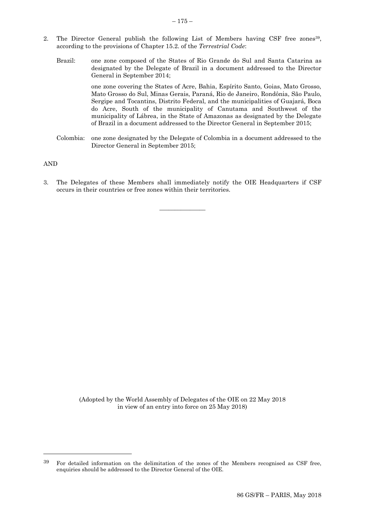- 2. The Director General publish the following List of Members having CSF free zones<sup>39</sup>, according to the provisions of Chapter 15.2. of the *Terrestrial Code*:
	- Brazil: one zone composed of the States of Rio Grande do Sul and Santa Catarina as designated by the Delegate of Brazil in a document addressed to the Director General in September 2014; one zone covering the States of Acre, Bahia, Espírito Santo, Goias, Mato Grosso,

Mato Grosso do Sul, Minas Gerais, Paraná, Rio de Janeiro, Rondônia, São Paulo, Sergipe and Tocantins, Distrito Federal, and the municipalities of Guajará, Boca do Acre, South of the municipality of Canutama and Southwest of the municipality of Lábrea, in the State of Amazonas as designated by the Delegate of Brazil in a document addressed to the Director General in September 2015;

Colombia: one zone designated by the Delegate of Colombia in a document addressed to the Director General in September 2015;

#### AND

l

3. The Delegates of these Members shall immediately notify the OIE Headquarters if CSF occurs in their countries or free zones within their territories.

\_\_\_\_\_\_\_\_\_\_\_\_\_\_\_

<sup>39</sup> For detailed information on the delimitation of the zones of the Members recognised as CSF free, enquiries should be addressed to the Director General of the OIE.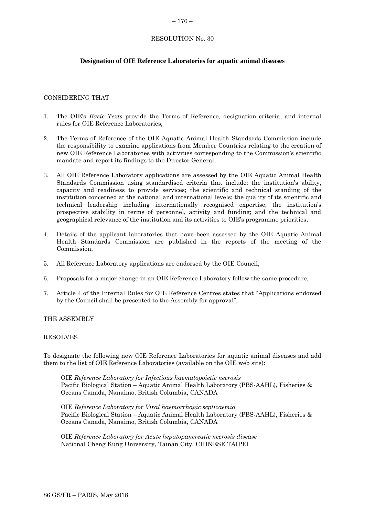#### <span id="page-49-0"></span>– 176 –

# RESOLUTION No. 30

# **Designation of OIE Reference Laboratories for aquatic animal diseases**

### CONSIDERING THAT

- 1. The OIE's *Basic Texts* provide the Terms of Reference, designation criteria, and internal rules for OIE Reference Laboratories,
- 2. The Terms of Reference of the OIE Aquatic Animal Health Standards Commission include the responsibility to examine applications from Member Countries relating to the creation of new OIE Reference Laboratories with activities corresponding to the Commission's scientific mandate and report its findings to the Director General,
- 3. All OIE Reference Laboratory applications are assessed by the OIE Aquatic Animal Health Standards Commission using standardised criteria that include: the institution's ability, capacity and readiness to provide services; the scientific and technical standing of the institution concerned at the national and international levels; the quality of its scientific and technical leadership including internationally recognised expertise; the institution's prospective stability in terms of personnel, activity and funding; and the technical and geographical relevance of the institution and its activities to OIE's programme priorities,
- 4. Details of the applicant laboratories that have been assessed by the OIE Aquatic Animal Health Standards Commission are published in the reports of the meeting of the Commission,
- 5. All Reference Laboratory applications are endorsed by the OIE Council,
- 6. Proposals for a major change in an OIE Reference Laboratory follow the same procedure,
- 7. Article 4 of the Internal Rules for OIE Reference Centres states that "Applications endorsed by the Council shall be presented to the Assembly for approval",

### THE ASSEMBLY

#### RESOLVES

To designate the following new OIE Reference Laboratories for aquatic animal diseases and add them to the list of OIE Reference Laboratories (available on the OIE web site):

OIE *Reference Laboratory for Infectious haematopoietic necrosis* Pacific Biological Station – Aquatic Animal Health Laboratory (PBS-AAHL), Fisheries & Oceans Canada, Nanaimo, British Columbia, CANADA

OIE *Reference Laboratory for Viral haemorrhagic septicaemia* Pacific Biological Station – Aquatic Animal Health Laboratory (PBS-AAHL), Fisheries & Oceans Canada, Nanaimo, British Columbia, CANADA

OIE *Reference Laboratory for Acute hepatopancreatic necrosis disease* National Cheng Kung University, Tainan City, CHINESE TAIPEI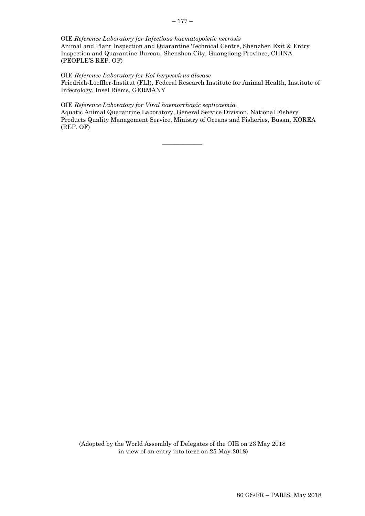#### – 177 –

#### OIE *Reference Laboratory for Infectious haematopoietic necrosis*

Animal and Plant Inspection and Quarantine Technical Centre, Shenzhen Exit & Entry Inspection and Quarantine Bureau, Shenzhen City, Guangdong Province, CHINA (PEOPLE'S REP. OF)

#### OIE *Reference Laboratory for Koi herpesvirus disease*

Friedrich-Loeffler-Institut (FLI), Federal Research Institute for Animal Health, Institute of Infectology, Insel Riems, GERMANY

#### OIE *Reference Laboratory for Viral haemorrhagic septicaemia*

Aquatic Animal Quarantine Laboratory, General Service Division, National Fishery Products Quality Management Service, Ministry of Oceans and Fisheries, Busan, KOREA (REP. OF)

 $\overline{\phantom{a}}$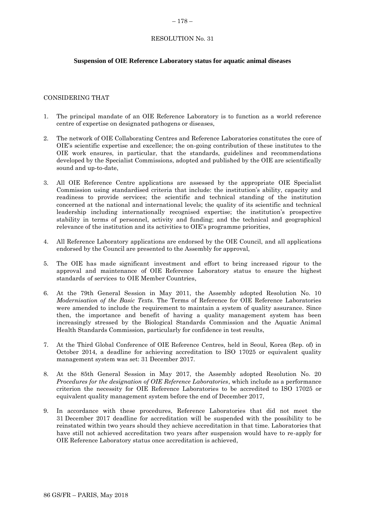#### <span id="page-51-0"></span> $-178-$

# RESOLUTION No. 31

# **Suspension of OIE Reference Laboratory status for aquatic animal diseases**

# CONSIDERING THAT

- 1. The principal mandate of an OIE Reference Laboratory is to function as a world reference centre of expertise on designated pathogens or diseases,
- 2. The network of OIE Collaborating Centres and Reference Laboratories constitutes the core of OIE's scientific expertise and excellence; the on-going contribution of these institutes to the OIE work ensures, in particular, that the standards, guidelines and recommendations developed by the Specialist Commissions, adopted and published by the OIE are scientifically sound and up-to-date,
- 3. All OIE Reference Centre applications are assessed by the appropriate OIE Specialist Commission using standardised criteria that include: the institution's ability, capacity and readiness to provide services; the scientific and technical standing of the institution concerned at the national and international levels; the quality of its scientific and technical leadership including internationally recognised expertise; the institution's prospective stability in terms of personnel, activity and funding; and the technical and geographical relevance of the institution and its activities to OIE's programme priorities,
- 4. All Reference Laboratory applications are endorsed by the OIE Council, and all applications endorsed by the Council are presented to the Assembly for approval,
- 5. The OIE has made significant investment and effort to bring increased rigour to the approval and maintenance of OIE Reference Laboratory status to ensure the highest standards of services to OIE Member Countries,
- 6. At the 79th General Session in May 2011, the Assembly adopted Resolution No. 10 *Modernisation of the Basic Texts.* The Terms of Reference for OIE Reference Laboratories were amended to include the requirement to maintain a system of quality assurance. Since then, the importance and benefit of having a quality management system has been increasingly stressed by the Biological Standards Commission and the Aquatic Animal Health Standards Commission, particularly for confidence in test results,
- 7. At the Third Global Conference of OIE Reference Centres, held in Seoul, Korea (Rep. of) in October 2014, a deadline for achieving accreditation to ISO 17025 or equivalent quality management system was set: 31 December 2017.
- 8. At the 85th General Session in May 2017, the Assembly adopted Resolution No. 20 *Procedures for the designation of OIE Reference Laboratories*, which include as a performance criterion the necessity for OIE Reference Laboratories to be accredited to ISO 17025 or equivalent quality management system before the end of December 2017,
- In accordance with these procedures, Reference Laboratories that did not meet the 31 December 2017 deadline for accreditation will be suspended with the possibility to be reinstated within two years should they achieve accreditation in that time. Laboratories that have still not achieved accreditation two years after suspension would have to re-apply for OIE Reference Laboratory status once accreditation is achieved,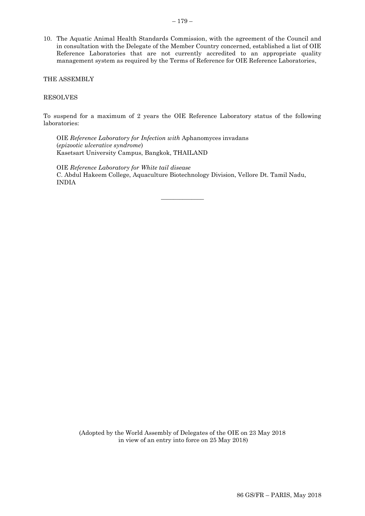10. The Aquatic Animal Health Standards Commission, with the agreement of the Council and in consultation with the Delegate of the Member Country concerned, established a list of OIE Reference Laboratories that are not currently accredited to an appropriate quality management system as required by the Terms of Reference for OIE Reference Laboratories,

THE ASSEMBLY

#### RESOLVES

To suspend for a maximum of 2 years the OIE Reference Laboratory status of the following laboratories:

OIE *Reference Laboratory for Infection with* Aphanomyces invadans (*epizootic ulcerative syndrome*) Kasetsart University Campus, Bangkok, THAILAND

OIE *Reference Laboratory for White tail disease* C. Abdul Hakeem College, Aquaculture Biotechnology Division, Vellore Dt. Tamil Nadu, INDIA

 $\overline{\phantom{a}}$  , where  $\overline{\phantom{a}}$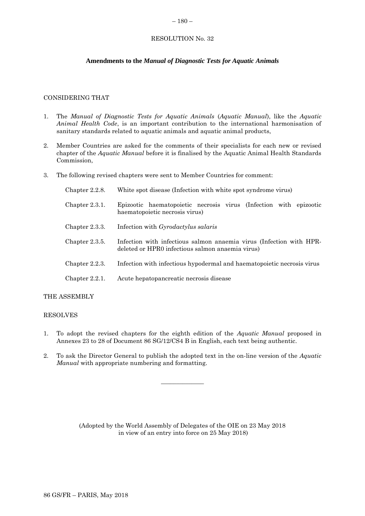# <span id="page-53-0"></span> $-180-$

### RESOLUTION No. 32

# **Amendments to the** *Manual of Diagnostic Tests for Aquatic Animals*

### CONSIDERING THAT

- 1. The *Manual of Diagnostic Tests for Aquatic Animals* (*Aquatic Manual*), like the *Aquatic Animal Health Code*, is an important contribution to the international harmonisation of sanitary standards related to aquatic animals and aquatic animal products,
- 2. Member Countries are asked for the comments of their specialists for each new or revised chapter of the *Aquatic Manual* before it is finalised by the Aquatic Animal Health Standards Commission,
- 3. The following revised chapters were sent to Member Countries for comment:

| Chapter $2.2.8$ . | White spot disease (Infection with white spot syndrome virus)                                                           |  |
|-------------------|-------------------------------------------------------------------------------------------------------------------------|--|
| Chapter $2.3.1$ . | Epizootic haematopoietic necrosis virus (Infection with epizootic<br>haematopoietic necrosis virus)                     |  |
| Chapter 2.3.3.    | Infection with <i>Gyrodactylus salaris</i>                                                                              |  |
| Chapter 2.3.5.    | Infection with infectious salmon anaemia virus (Infection with HPR-<br>deleted or HPR0 infectious salmon anaemia virus) |  |
| Chapter $2.2.3$ . | Infection with infectious hypodermal and haematopoietic necrosis virus                                                  |  |
| Chapter $2.2.1$ . | Acute hepatopancreatic necrosis disease                                                                                 |  |

#### THE ASSEMBLY

#### RESOLVES

- 1. To adopt the revised chapters for the eighth edition of the *Aquatic Manual* proposed in Annexes 23 to 28 of Document 86 SG/12/CS4 B in English, each text being authentic.
- 2. To ask the Director General to publish the adopted text in the on-line version of the *Aquatic Manual* with appropriate numbering and formatting.

 $\overline{\phantom{a}}$  , where  $\overline{\phantom{a}}$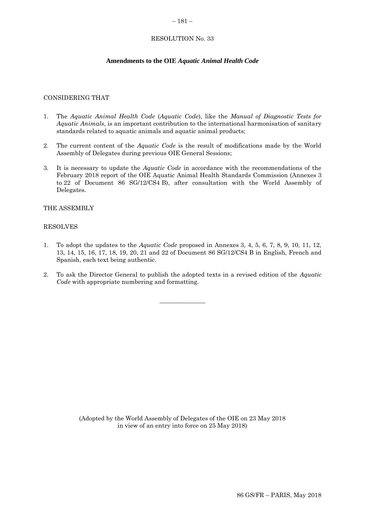#### <span id="page-54-0"></span>– 181 –

# RESOLUTION No. 33

# **Amendments to the OIE** *Aquatic Animal Health Code*

#### CONSIDERING THAT

- 1. The *Aquatic Animal Health Code* (*Aquatic Code*), like the *Manual of Diagnostic Tests for Aquatic Animals*, is an important contribution to the international harmonisation of sanitary standards related to aquatic animals and aquatic animal products;
- 2. The current content of the *Aquatic Code* is the result of modifications made by the World Assembly of Delegates during previous OIE General Sessions;
- 3. It is necessary to update the *Aquatic Code* in accordance with the recommendations of the February 2018 report of the OIE Aquatic Animal Health Standards Commission (Annexes 3 to 22 of Document 86 SG/12/CS4 B), after consultation with the World Assembly of Delegates.

#### THE ASSEMBLY

### RESOLVES

- 1. To adopt the updates to the *Aquatic Code* proposed in Annexes 3, 4, 5, 6, 7, 8, 9, 10, 11, 12, 13, 14, 15, 16, 17, 18, 19, 20, 21 and 22 of Document 86 SG/12/CS4 B in English, French and Spanish, each text being authentic.
- 2. To ask the Director General to publish the adopted texts in a revised edition of the *Aquatic Code* with appropriate numbering and formatting.

 $\overline{\phantom{a}}$  , where  $\overline{\phantom{a}}$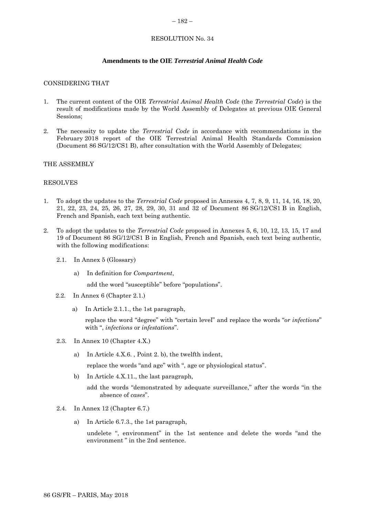#### <span id="page-55-0"></span>– 182 –

# RESOLUTION No. 34

# **Amendments to the OIE** *Terrestrial Animal Health Code*

#### CONSIDERING THAT

- 1. The current content of the OIE *Terrestrial Animal Health Code* (the *Terrestrial Code*) is the result of modifications made by the World Assembly of Delegates at previous OIE General Sessions;
- 2. The necessity to update the *Terrestrial Code* in accordance with recommendations in the February 2018 report of the OIE Terrestrial Animal Health Standards Commission (Document 86 SG/12/CS1 B), after consultation with the World Assembly of Delegates;

# THE ASSEMBLY

#### RESOLVES

- 1. To adopt the updates to the *Terrestrial Code* proposed in Annexes 4, 7, 8, 9, 11, 14, 16, 18, 20, 21, 22, 23, 24, 25, 26, 27, 28, 29, 30, 31 and 32 of Document 86 SG/12/CS1 B in English, French and Spanish, each text being authentic.
- 2. To adopt the updates to the *Terrestrial Code* proposed in Annexes 5, 6, 10, 12, 13, 15, 17 and 19 of Document 86 SG/12/CS1 B in English, French and Spanish, each text being authentic, with the following modifications:
	- 2.1. In Annex 5 (Glossary)
		- a) In definition for *Compartment*,

add the word "susceptible" before "populations".

- 2.2. In Annex 6 (Chapter 2.1.)
	- a) In Article 2.1.1., the 1st paragraph,

replace the word "degree" with "certain level" and replace the words "*or infections*" with ", *infections* or *infestations*".

- 2.3. In Annex 10 (Chapter 4.X.)
	- a) In Article 4.X.6. , Point 2. b), the twelfth indent,

replace the words "and age" with ", age or physiological status".

b) In Article 4.X.11., the last paragraph,

add the words "demonstrated by adequate surveillance," after the words "in the absence of *cases*".

- 2.4. In Annex 12 (Chapter 6.7.)
	- a) In Article 6.7.3., the 1st paragraph,

undelete ", environment" in the 1st sentence and delete the words "and the environment " in the 2nd sentence.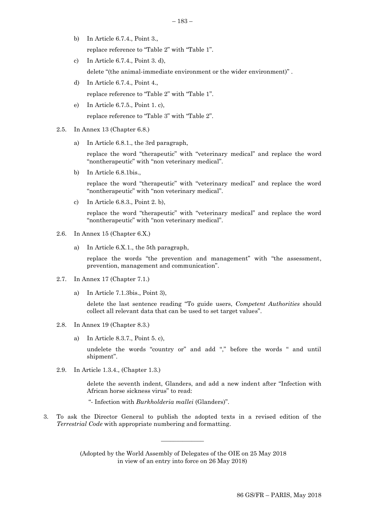- b) In Article 6.7.4., Point 3., replace reference to "Table 2" with "Table 1".
- c) In Article 6.7.4., Point 3. d), delete "(the animal-immediate environment or the wider environment)" .
- d) In Article 6.7.4., Point 4., replace reference to "Table 2" with "Table 1".
- e) In Article 6.7.5., Point 1. c), replace reference to "Table 3" with "Table 2".
- 2.5. In Annex 13 (Chapter 6.8.)
	- a) In Article 6.8.1., the 3rd paragraph,

replace the word "therapeutic" with "veterinary medical" and replace the word "nontherapeutic" with "non veterinary medical".

b) In Article 6.8.1bis.,

replace the word "therapeutic" with "veterinary medical" and replace the word "nontherapeutic" with "non veterinary medical".

c) In Article 6.8.3., Point 2. b),

replace the word "therapeutic" with "veterinary medical" and replace the word "nontherapeutic" with "non veterinary medical".

- 2.6. In Annex 15 (Chapter 6.X.)
	- a) In Article 6.X.1., the 5th paragraph,

replace the words "the prevention and management" with "the assessment, prevention, management and communication".

- 2.7. In Annex 17 (Chapter 7.1.)
	- a) In Article 7.1.3bis., Point 3),

delete the last sentence reading "To guide users, *Competent Authorities* should collect all relevant data that can be used to set target values".

- 2.8. In Annex 19 (Chapter 8.3.)
	- a) In Article 8.3.7., Point 5. c),

undelete the words "country or" and add "," before the words " and until shipment".

2.9. In Article 1.3.4., (Chapter 1.3.)

delete the seventh indent, Glanders, and add a new indent after "Infection with African horse sickness virus" to read:

- "- Infection with *Burkholderia mallei* (Glanders)".
- 3. To ask the Director General to publish the adopted texts in a revised edition of the *Terrestrial Code* with appropriate numbering and formatting.

(Adopted by the World Assembly of Delegates of the OIE on 25 May 2018 in view of an entry into force on 26 May 2018)

 $\overline{\phantom{a}}$  , where  $\overline{\phantom{a}}$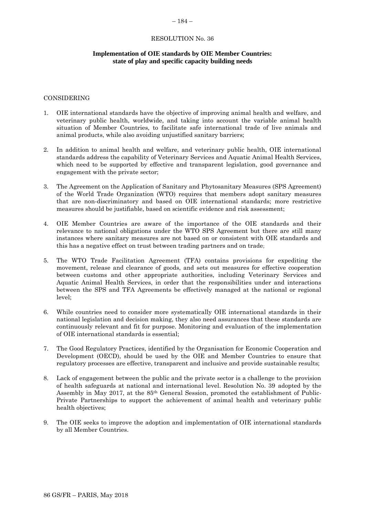### <span id="page-57-0"></span>– 184 –

#### RESOLUTION No. 36

# **Implementation of OIE standards by OIE Member Countries: state of play and specific capacity building needs**

#### CONSIDERING

- 1. OIE international standards have the objective of improving animal health and welfare, and veterinary public health, worldwide, and taking into account the variable animal health situation of Member Countries, to facilitate safe international trade of live animals and animal products, while also avoiding unjustified sanitary barriers;
- 2. In addition to animal health and welfare, and veterinary public health, OIE international standards address the capability of Veterinary Services and Aquatic Animal Health Services, which need to be supported by effective and transparent legislation, good governance and engagement with the private sector;
- 3. The Agreement on the Application of Sanitary and Phytosanitary Measures (SPS Agreement) of the World Trade Organization (WTO) requires that members adopt sanitary measures that are non-discriminatory and based on OIE international standards; more restrictive measures should be justifiable, based on scientific evidence and risk assessment;
- 4. OIE Member Countries are aware of the importance of the OIE standards and their relevance to national obligations under the WTO SPS Agreement but there are still many instances where sanitary measures are not based on or consistent with OIE standards and this has a negative effect on trust between trading partners and on trade;
- 5. The WTO Trade Facilitation Agreement (TFA) contains provisions for expediting the movement, release and clearance of goods, and sets out measures for effective cooperation between customs and other appropriate authorities, including Veterinary Services and Aquatic Animal Health Services, in order that the responsibilities under and interactions between the SPS and TFA Agreements be effectively managed at the national or regional level;
- 6. While countries need to consider more systematically OIE international standards in their national legislation and decision making, they also need assurances that these standards are continuously relevant and fit for purpose. Monitoring and evaluation of the implementation of OIE international standards is essential;
- 7. The Good Regulatory Practices, identified by the Organisation for Economic Cooperation and Development (OECD), should be used by the OIE and Member Countries to ensure that regulatory processes are effective, transparent and inclusive and provide sustainable results;
- 8. Lack of engagement between the public and the private sector is a challenge to the provision of health safeguards at national and international level. Resolution No. 39 adopted by the Assembly in May 2017, at the 85th General Session, promoted the establishment of Public-Private Partnerships to support the achievement of animal health and veterinary public health objectives;
- 9. The OIE seeks to improve the adoption and implementation of OIE international standards by all Member Countries.